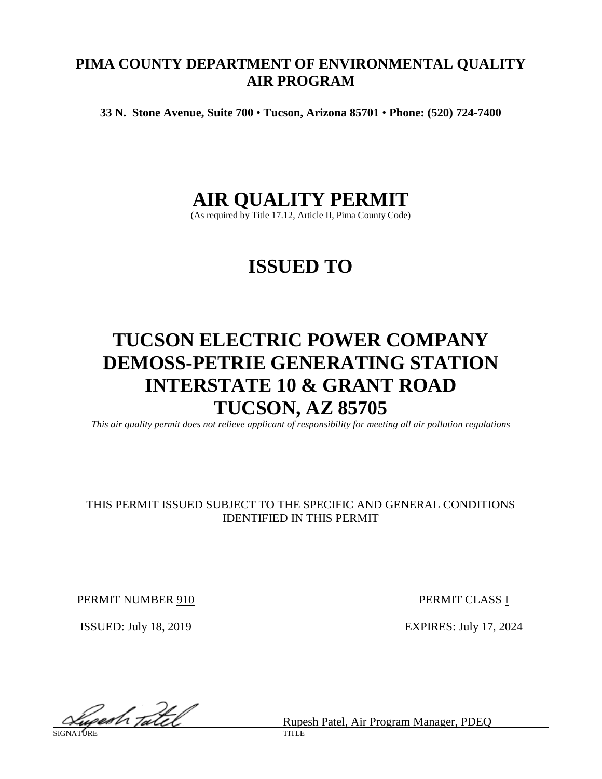# **PIMA COUNTY DEPARTMENT OF ENVIRONMENTAL QUALITY AIR PROGRAM**

**33 N. Stone Avenue, Suite 700** • **Tucson, Arizona 85701** • **Phone: (520) 724-7400**

# **AIR QUALITY PERMIT**

(As required by Title 17.12, Article II, Pima County Code)

# **ISSUED TO**

# **TUCSON ELECTRIC POWER COMPANY DEMOSS-PETRIE GENERATING STATION INTERSTATE 10 & GRANT ROAD TUCSON, AZ 85705**

*This air quality permit does not relieve applicant of responsibility for meeting all air pollution regulations*

# THIS PERMIT ISSUED SUBJECT TO THE SPECIFIC AND GENERAL CONDITIONS IDENTIFIED IN THIS PERMIT

PERMIT NUMBER 910 PERMIT CLASS I

ISSUED: July 18, 2019 EXPIRES: July 17, 2024

Superh Tatel

Rupesh Patel, Air Program Manager, PDEQ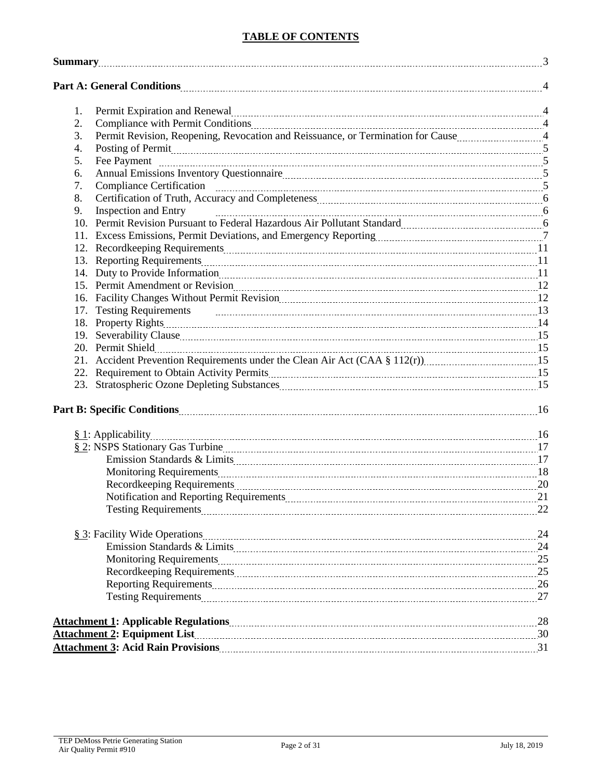### **TABLE OF CONTENTS**

| <b>Summary</b> 23 |                                                                                                                                                                                                                                     |             |
|-------------------|-------------------------------------------------------------------------------------------------------------------------------------------------------------------------------------------------------------------------------------|-------------|
|                   | Part A: General Conditions 2000 and 2000 and 2000 and 2000 and 2000 and 2000 and 2000 and 2000 and 2000 and 200                                                                                                                     |             |
| 1.                | Permit Expiration and Renewal material content and the content of the state of the state of the state of the state of the state of the state of the state of the state of the state of the state of the state of the state of       |             |
| 2.                | Compliance with Permit Conditions [11] All and the Compliance with Permit Conditions [2016] All and the Conditions [2016] All and the Complete State of All and All and All and All and All and All and All and All and All an      |             |
| 3.                |                                                                                                                                                                                                                                     |             |
| 4.                | Posting of Permit 2000 communication contract to the contract of Permit 2000 communication contract 2000 communication 3                                                                                                            |             |
| 5.                |                                                                                                                                                                                                                                     |             |
| 6.                |                                                                                                                                                                                                                                     |             |
| 7.                |                                                                                                                                                                                                                                     |             |
| 8.                |                                                                                                                                                                                                                                     |             |
| 9.                | <b>Inspection and Entry</b>                                                                                                                                                                                                         |             |
|                   | 10. Permit Revision Pursuant to Federal Hazardous Air Pollutant Standard [11] [10] Permit Revision Pursuant to Federal Hazardous Air Pollutant Standard                                                                             |             |
|                   |                                                                                                                                                                                                                                     |             |
|                   |                                                                                                                                                                                                                                     |             |
|                   |                                                                                                                                                                                                                                     |             |
|                   | 14. Duty to Provide Information 2000 and 2000 and 2000 and 21 and 21 and 22 and 22 and 23 and 24 and 25 and 25                                                                                                                      |             |
|                   | 15. Permit Amendment or Revision <i>manufacture and a content of the series</i> and a content of the series and the series of the series and the series of the series of the series of the series of the series of the series of th |             |
|                   |                                                                                                                                                                                                                                     |             |
|                   |                                                                                                                                                                                                                                     |             |
|                   |                                                                                                                                                                                                                                     |             |
|                   |                                                                                                                                                                                                                                     |             |
|                   |                                                                                                                                                                                                                                     |             |
|                   |                                                                                                                                                                                                                                     |             |
|                   |                                                                                                                                                                                                                                     |             |
|                   | 23. Stratospheric Ozone Depleting Substances [15] [15] The Stratospheric Ozone Depleting Substances [15] [15] The Stratospheric Ozone Depleting Substances [15] The Stratospheric Ozone Depleting Substances [15] The Stratosp      |             |
|                   |                                                                                                                                                                                                                                     |             |
|                   |                                                                                                                                                                                                                                     |             |
|                   |                                                                                                                                                                                                                                     |             |
|                   |                                                                                                                                                                                                                                     |             |
|                   | Monitoring Requirements [18] Monitoring Requirements [18] Monitoring Requirements [18] Monitoring Requirements                                                                                                                      |             |
|                   |                                                                                                                                                                                                                                     |             |
|                   |                                                                                                                                                                                                                                     | $\sqrt{21}$ |
|                   |                                                                                                                                                                                                                                     |             |
|                   |                                                                                                                                                                                                                                     |             |
|                   |                                                                                                                                                                                                                                     |             |
|                   |                                                                                                                                                                                                                                     |             |
|                   |                                                                                                                                                                                                                                     |             |
|                   |                                                                                                                                                                                                                                     |             |
|                   |                                                                                                                                                                                                                                     |             |
|                   |                                                                                                                                                                                                                                     |             |
|                   |                                                                                                                                                                                                                                     |             |
|                   |                                                                                                                                                                                                                                     |             |
|                   |                                                                                                                                                                                                                                     |             |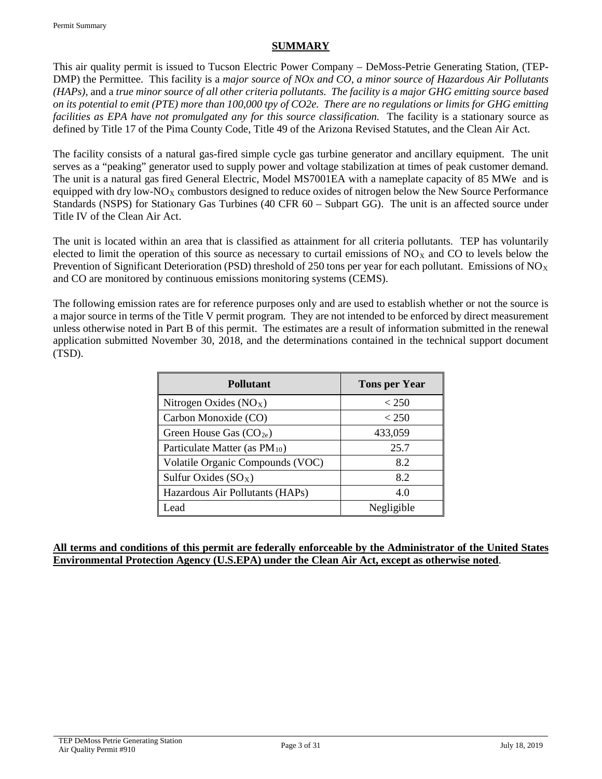### **SUMMARY**

This air quality permit is issued to Tucson Electric Power Company – DeMoss-Petrie Generating Station, (TEP-DMP) the Permittee. This facility is a *major source of NOx and CO, a minor source of Hazardous Air Pollutants (HAPs),* and a *true minor source of all other criteria pollutants. The facility is a major GHG emitting source based on its potential to emit (PTE) more than 100,000 tpy of CO2e. There are no regulations or limits for GHG emitting facilities as EPA have not promulgated any for this source classification.* The facility is a stationary source as defined by Title 17 of the Pima County Code, Title 49 of the Arizona Revised Statutes, and the Clean Air Act.

The facility consists of a natural gas-fired simple cycle gas turbine generator and ancillary equipment. The unit serves as a "peaking" generator used to supply power and voltage stabilization at times of peak customer demand. The unit is a natural gas fired General Electric, Model MS7001EA with a nameplate capacity of 85 MWe and is equipped with dry low-NO<sub>X</sub> combustors designed to reduce oxides of nitrogen below the New Source Performance Standards (NSPS) for Stationary Gas Turbines (40 CFR 60 – Subpart GG). The unit is an affected source under Title IV of the Clean Air Act.

The unit is located within an area that is classified as attainment for all criteria pollutants. TEP has voluntarily elected to limit the operation of this source as necessary to curtail emissions of  $NO<sub>X</sub>$  and CO to levels below the Prevention of Significant Deterioration (PSD) threshold of 250 tons per year for each pollutant. Emissions of  $NO<sub>X</sub>$ and CO are monitored by continuous emissions monitoring systems (CEMS).

The following emission rates are for reference purposes only and are used to establish whether or not the source is a major source in terms of the Title V permit program. They are not intended to be enforced by direct measurement unless otherwise noted in Part B of this permit. The estimates are a result of information submitted in the renewal application submitted November 30, 2018, and the determinations contained in the technical support document (TSD).

| <b>Pollutant</b>                          | <b>Tons per Year</b> |
|-------------------------------------------|----------------------|
| Nitrogen Oxides $(NOX)$                   | < 250                |
| Carbon Monoxide (CO)                      | < 250                |
| Green House Gas $(CO_{2e})$               | 433,059              |
| Particulate Matter (as PM <sub>10</sub> ) | 25.7                 |
| Volatile Organic Compounds (VOC)          | 8.2                  |
| Sulfur Oxides $(SO_X)$                    | 8.2                  |
| Hazardous Air Pollutants (HAPs)           | 4.0                  |
| Lead                                      | Negligible           |

#### **All terms and conditions of this permit are federally enforceable by the Administrator of the United States Environmental Protection Agency (U.S.EPA) under the Clean Air Act, except as otherwise noted**.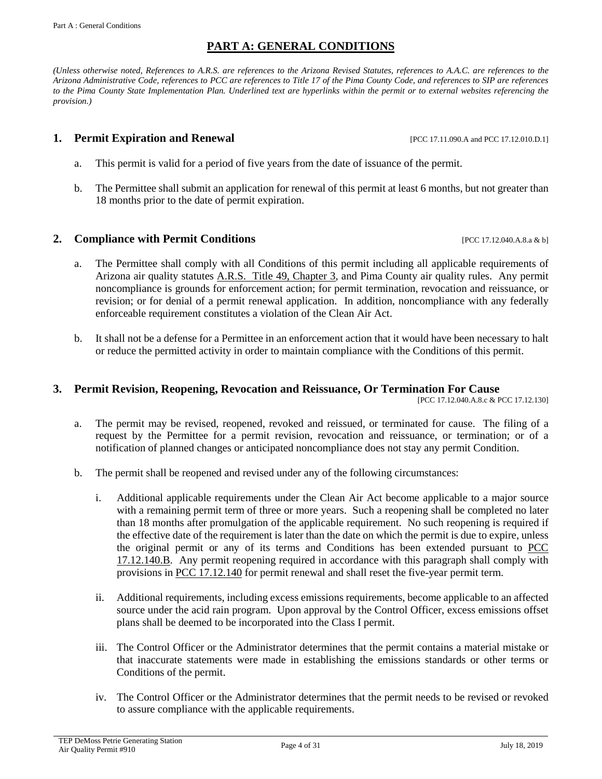### **PART A: GENERAL CONDITIONS**

*(Unless otherwise noted, References to A.R.S. are references to the Arizona Revised Statutes, references to A.A.C. are references to the Arizona Administrative Code, references to PCC are references to Title 17 of the Pima County Code, and references to SIP are references to the Pima County State Implementation Plan. Underlined text are hyperlinks within the permit or to external websites referencing the provision.)*

#### **1. Permit Expiration and Renewal 1. Permit Expiration and Renewal Expiration 2.11.12.010.D.1**

- a. This permit is valid for a period of five years from the date of issuance of the permit.
- b. The Permittee shall submit an application for renewal of this permit at least 6 months, but not greater than 18 months prior to the date of permit expiration.

#### **2. Compliance with Permit Conditions 1992 17.12.040.A.8.a & b]**

- 
- a. The Permittee shall comply with all Conditions of this permit including all applicable requirements of Arizona air quality statutes [A.R.S. Title 49, Chapter 3,](https://www.azleg.gov/arsDetail/?title=49) and Pima County air quality rules. Any permit noncompliance is grounds for enforcement action; for permit termination, revocation and reissuance, or revision; or for denial of a permit renewal application. In addition, noncompliance with any federally enforceable requirement constitutes a violation of the Clean Air Act.
- b. It shall not be a defense for a Permittee in an enforcement action that it would have been necessary to halt or reduce the permitted activity in order to maintain compliance with the Conditions of this permit.

#### **3. Permit Revision, Reopening, Revocation and Reissuance, Or Termination For Cause**

[PCC 17.12.040.A.8.c & PCC 17.12.130]

- a. The permit may be revised, reopened, revoked and reissued, or terminated for cause. The filing of a request by the Permittee for a permit revision, revocation and reissuance, or termination; or of a notification of planned changes or anticipated noncompliance does not stay any permit Condition.
- <span id="page-3-0"></span>b. The permit shall be reopened and revised under any of the following circumstances:
	- i. Additional applicable requirements under the Clean Air Act become applicable to a major source with a remaining permit term of three or more years. Such a reopening shall be completed no later than 18 months after promulgation of the applicable requirement. No such reopening is required if the effective date of the requirement is later than the date on which the permit is due to expire, unless the original permit or any of its terms and Conditions has been extended pursuant to [PCC](http://library.amlegal.com/nxt/gateway.dll/Arizona/pimacounty_az/title17airqualitycontrol/chapter1712individualpermitsandpermitrev?f=templates$fn=default.htm$3.0$vid=amlegal:pimacounty_az$anc=JD_17.12.140)  [17.12.140.B.](http://library.amlegal.com/nxt/gateway.dll/Arizona/pimacounty_az/title17airqualitycontrol/chapter1712individualpermitsandpermitrev?f=templates$fn=default.htm$3.0$vid=amlegal:pimacounty_az$anc=JD_17.12.140) Any permit reopening required in accordance with this paragraph shall comply with provisions i[n PCC 17.12.140](http://library.amlegal.com/nxt/gateway.dll/Arizona/pimacounty_az/title17airqualitycontrol/chapter1712individualpermitsandpermitrev?f=templates$fn=default.htm$3.0$vid=amlegal:pimacounty_az$anc=JD_17.12.140) for permit renewal and shall reset the five-year permit term.
	- ii. Additional requirements, including excess emissions requirements, become applicable to an affected source under the acid rain program. Upon approval by the Control Officer, excess emissions offset plans shall be deemed to be incorporated into the Class I permit.
	- iii. The Control Officer or the Administrator determines that the permit contains a material mistake or that inaccurate statements were made in establishing the emissions standards or other terms or Conditions of the permit.
	- iv. The Control Officer or the Administrator determines that the permit needs to be revised or revoked to assure compliance with the applicable requirements.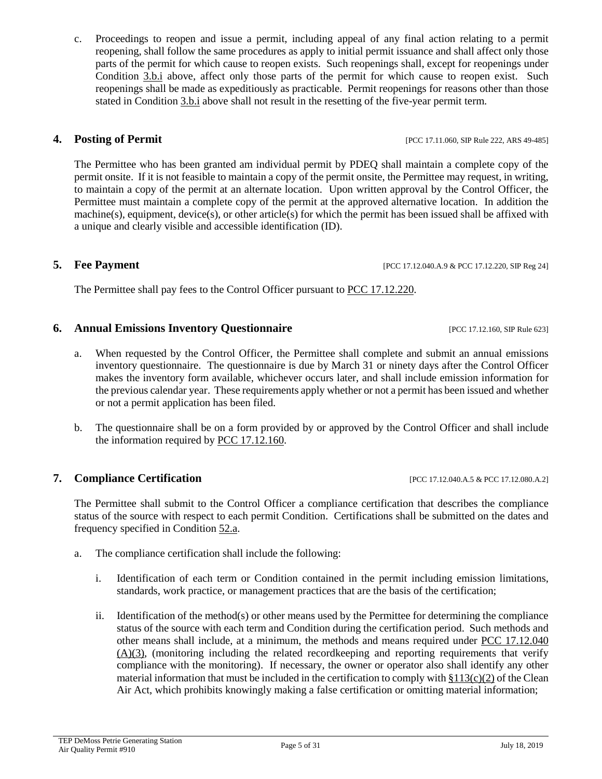## **4. Posting of Permit and Permit EXECUTE: POSTING EXECUTE: POSTING EXECUTE: POSTING EXECUTE: POSTING EXECUTE: POSTING EXECUTE: POSTING EXECUTE: POSTING EXECUTE: POSTING EXECUTE: POST**

The Permittee who has been granted am individual permit by PDEQ shall maintain a complete copy of the permit onsite. If it is not feasible to maintain a copy of the permit onsite, the Permittee may request, in writing, to maintain a copy of the permit at an alternate location. Upon written approval by the Control Officer, the Permittee must maintain a complete copy of the permit at the approved alternative location. In addition the machine(s), equipment, device(s), or other article(s) for which the permit has been issued shall be affixed with a unique and clearly visible and accessible identification (ID).

### **5. Fee Payment** [PCC 17.12.040.A.9 & PCC 17.12.220, SIP Reg 24]

The Permittee shall pay fees to the Control Officer pursuant to [PCC 17.12.220.](http://library.amlegal.com/nxt/gateway.dll/Arizona/pimacounty_az/title17airqualitycontrol/chapter1712individualpermitsandpermitrev?f=templates$fn=default.htm$3.0$vid=amlegal:pimacounty_az$anc=JD_17.12.220)

### <span id="page-4-2"></span>**6. Annual Emissions Inventory Questionnaire** [PCC 17.12.160, SIP Rule 623]

- a. When requested by the Control Officer, the Permittee shall complete and submit an annual emissions inventory questionnaire. The questionnaire is due by March 31 or ninety days after the Control Officer makes the inventory form available, whichever occurs later, and shall include emission information for the previous calendar year. These requirements apply whether or not a permit has been issued and whether or not a permit application has been filed.
- b. The questionnaire shall be on a form provided by or approved by the Control Officer and shall include the information required by [PCC 17.12.160.](http://library.amlegal.com/nxt/gateway.dll/Arizona/pimacounty_az/title17airqualitycontrol/chapter1712individualpermitsandpermitrev?f=templates$fn=default.htm$3.0$vid=amlegal:pimacounty_az$anc=JD_17.12.160)

<span id="page-4-1"></span>**7. Compliance Certification** [PCC 17.12.040.A.5 & PCC 17.12.080.A.2]

The Permittee shall submit to the Control Officer a compliance certification that describes the compliance status of the source with respect to each permit Condition. Certifications shall be submitted on the dates and frequency specified in Condition [52.a.](#page-25-0)

- <span id="page-4-0"></span>a. The compliance certification shall include the following:
	- i. Identification of each term or Condition contained in the permit including emission limitations, standards, work practice, or management practices that are the basis of the certification;
	- ii. Identification of the method(s) or other means used by the Permittee for determining the compliance status of the source with each term and Condition during the certification period. Such methods and other means shall include, at a minimum, the methods and means required under [PCC 17.12.040](http://library.amlegal.com/nxt/gateway.dll/Arizona/pimacounty_az/title17airqualitycontrol/chapter1712individualpermitsandpermitrev?f=templates$fn=default.htm$3.0$vid=amlegal:pimacounty_az$anc=JD_17.12.040)  [\(A\)\(3\),](http://library.amlegal.com/nxt/gateway.dll/Arizona/pimacounty_az/title17airqualitycontrol/chapter1712individualpermitsandpermitrev?f=templates$fn=default.htm$3.0$vid=amlegal:pimacounty_az$anc=JD_17.12.040) (monitoring including the related recordkeeping and reporting requirements that verify compliance with the monitoring). If necessary, the owner or operator also shall identify any other material information that must be included in the certification to comply with  $\S113(c)(2)$  of the Clean Air Act, which prohibits knowingly making a false certification or omitting material information;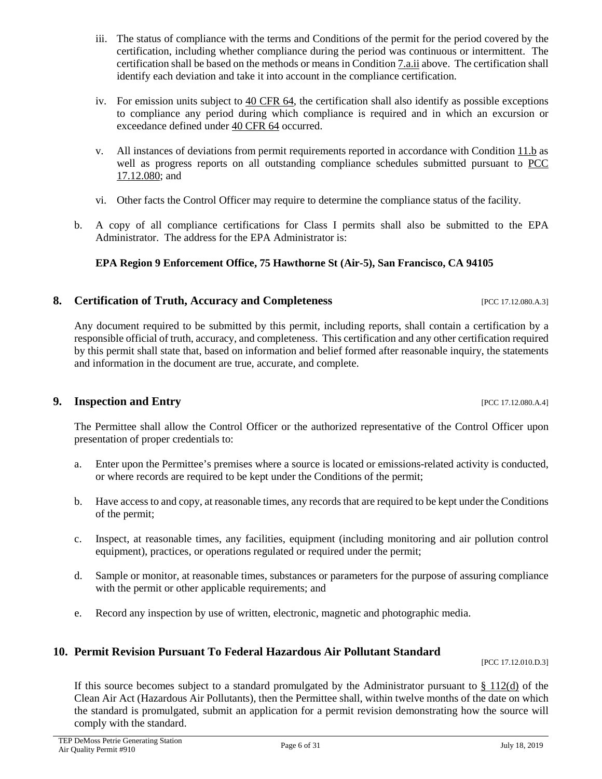- iii. The status of compliance with the terms and Conditions of the permit for the period covered by the certification, including whether compliance during the period was continuous or intermittent. The certification shall be based on the methods or means in Condition [7.a.ii](#page-4-0) above. The certification shall identify each deviation and take it into account in the compliance certification.
- iv. For emission units subject to [40 CFR 64,](https://www.ecfr.gov/cgi-bin/text-idx?SID=051b642f7956e2ead1f421c10ff6a103&mc=true&node=pt40.17.64&rgn=div5) the certification shall also identify as possible exceptions to compliance any period during which compliance is required and in which an excursion or exceedance defined under [40 CFR 64](https://www.ecfr.gov/cgi-bin/text-idx?SID=051b642f7956e2ead1f421c10ff6a103&mc=true&node=pt40.17.64&rgn=div5) occurred.
- v. All instances of deviations from permit requirements reported in accordance with Condition [11.b](#page-7-0) as well as progress reports on all outstanding compliance schedules submitted pursuant to [PCC](http://library.amlegal.com/nxt/gateway.dll/Arizona/pimacounty_az/title17airqualitycontrol/chapter1712individualpermitsandpermitrev?f=templates$fn=default.htm$3.0$vid=amlegal:pimacounty_az$anc=JD_17.12.080)  [17.12.080;](http://library.amlegal.com/nxt/gateway.dll/Arizona/pimacounty_az/title17airqualitycontrol/chapter1712individualpermitsandpermitrev?f=templates$fn=default.htm$3.0$vid=amlegal:pimacounty_az$anc=JD_17.12.080) and
- vi. Other facts the Control Officer may require to determine the compliance status of the facility.
- <span id="page-5-0"></span>b. A copy of all compliance certifications for Class I permits shall also be submitted to the EPA Administrator. The address for the EPA Administrator is:

# **EPA Region 9 Enforcement Office, 75 Hawthorne St (Air-5), San Francisco, CA 94105**

# **8. Certification of Truth, Accuracy and Completeness** [PCC 17.12.080.A.3]

Any document required to be submitted by this permit, including reports, shall contain a certification by a responsible official of truth, accuracy, and completeness. This certification and any other certification required by this permit shall state that, based on information and belief formed after reasonable inquiry, the statements and information in the document are true, accurate, and complete.

# **9.** Inspection and Entry **Exercise 2.17.12.080.A.4**]

The Permittee shall allow the Control Officer or the authorized representative of the Control Officer upon presentation of proper credentials to:

- a. Enter upon the Permittee's premises where a source is located or emissions-related activity is conducted, or where records are required to be kept under the Conditions of the permit;
- b. Have access to and copy, at reasonable times, any records that are required to be kept under the Conditions of the permit;
- c. Inspect, at reasonable times, any facilities, equipment (including monitoring and air pollution control equipment), practices, or operations regulated or required under the permit;
- d. Sample or monitor, at reasonable times, substances or parameters for the purpose of assuring compliance with the permit or other applicable requirements; and
- e. Record any inspection by use of written, electronic, magnetic and photographic media.

# **10. Permit Revision Pursuant To Federal Hazardous Air Pollutant Standard**

[PCC 17.12.010.D.3]

If this source becomes subject to a standard promulgated by the Administrator pursuant to  $\S 112(d)$  of the Clean Air Act (Hazardous Air Pollutants), then the Permittee shall, within twelve months of the date on which the standard is promulgated, submit an application for a permit revision demonstrating how the source will comply with the standard.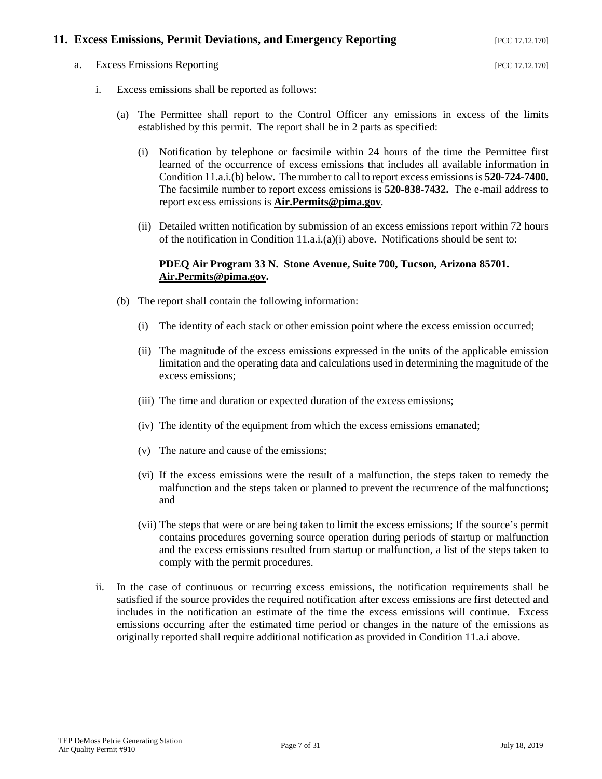### <span id="page-6-4"></span>**11. Excess Emissions, Permit Deviations, and Emergency Reporting** [PCC 17.12.170]

<span id="page-6-3"></span><span id="page-6-2"></span>a. Excess Emissions Reporting [PCC 17.12.170]

- <span id="page-6-1"></span>i. Excess emissions shall be reported as follows:
	- (a) The Permittee shall report to the Control Officer any emissions in excess of the limits established by this permit. The report shall be in 2 parts as specified:
		- (i) Notification by telephone or facsimile within 24 hours of the time the Permittee first learned of the occurrence of excess emissions that includes all available information in Condition [11.a.i.\(b\)](#page-6-0) below. The number to call to report excess emissions is **520-724-7400.**  The facsimile number to report excess emissions is **520-838-7432.** The e-mail address to report excess emissions is **[Air.Permits@pima.gov](mailto:Air.Permits@pima.gov)**.
		- (ii) Detailed written notification by submission of an excess emissions report within 72 hours of the notification in Condition [11.a.i.\(a\)\(i\)](#page-6-1) above. Notifications should be sent to:

#### **PDEQ Air Program 33 N. Stone Avenue, Suite 700, Tucson, Arizona 85701. [Air.Permits@pima.gov.](mailto:Air.Permits@pima.gov)**

- <span id="page-6-0"></span>(b) The report shall contain the following information:
	- (i) The identity of each stack or other emission point where the excess emission occurred;
	- (ii) The magnitude of the excess emissions expressed in the units of the applicable emission limitation and the operating data and calculations used in determining the magnitude of the excess emissions;
	- (iii) The time and duration or expected duration of the excess emissions;
	- (iv) The identity of the equipment from which the excess emissions emanated;
	- (v) The nature and cause of the emissions;
	- (vi) If the excess emissions were the result of a malfunction, the steps taken to remedy the malfunction and the steps taken or planned to prevent the recurrence of the malfunctions; and
	- (vii) The steps that were or are being taken to limit the excess emissions; If the source's permit contains procedures governing source operation during periods of startup or malfunction and the excess emissions resulted from startup or malfunction, a list of the steps taken to comply with the permit procedures.
- ii. In the case of continuous or recurring excess emissions, the notification requirements shall be satisfied if the source provides the required notification after excess emissions are first detected and includes in the notification an estimate of the time the excess emissions will continue. Excess emissions occurring after the estimated time period or changes in the nature of the emissions as originally reported shall require additional notification as provided in Condition [11.a.i](#page-6-2) above.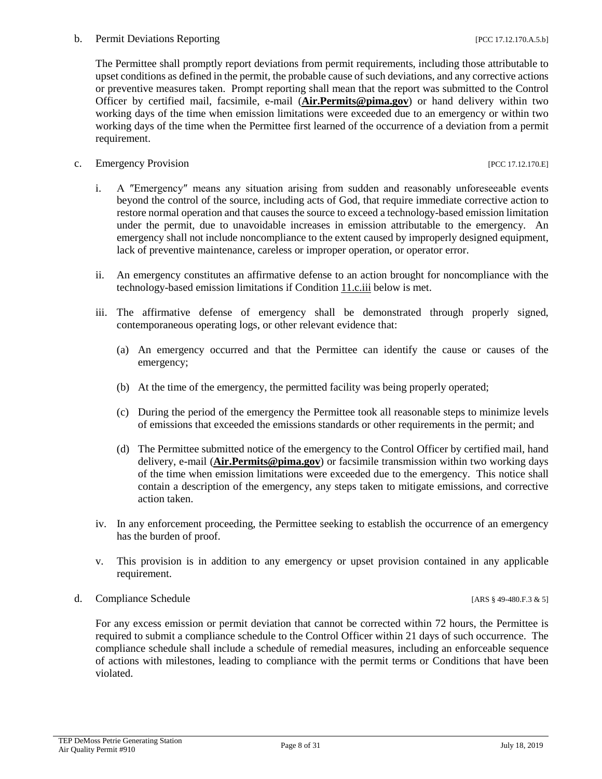<span id="page-7-0"></span>The Permittee shall promptly report deviations from permit requirements, including those attributable to upset conditions as defined in the permit, the probable cause of such deviations, and any corrective actions or preventive measures taken. Prompt reporting shall mean that the report was submitted to the Control Officer by certified mail, facsimile, e-mail (**[Air.Permits@pima.gov](mailto:Air.Permits@pima.gov)**) or hand delivery within two working days of the time when emission limitations were exceeded due to an emergency or within two working days of the time when the Permittee first learned of the occurrence of a deviation from a permit requirement.

- <span id="page-7-1"></span>c. Emergency Provision [PCC 17.12.170.E]
	- i. A ″Emergency″ means any situation arising from sudden and reasonably unforeseeable events beyond the control of the source, including acts of God, that require immediate corrective action to restore normal operation and that causes the source to exceed a technology-based emission limitation under the permit, due to unavoidable increases in emission attributable to the emergency. An emergency shall not include noncompliance to the extent caused by improperly designed equipment, lack of preventive maintenance, careless or improper operation, or operator error.
	- ii. An emergency constitutes an affirmative defense to an action brought for noncompliance with the technology-based emission limitations if Condition [11.c.iii](#page-7-1) below is met.
	- iii. The affirmative defense of emergency shall be demonstrated through properly signed, contemporaneous operating logs, or other relevant evidence that:
		- (a) An emergency occurred and that the Permittee can identify the cause or causes of the emergency;
		- (b) At the time of the emergency, the permitted facility was being properly operated;
		- (c) During the period of the emergency the Permittee took all reasonable steps to minimize levels of emissions that exceeded the emissions standards or other requirements in the permit; and
		- (d) The Permittee submitted notice of the emergency to the Control Officer by certified mail, hand delivery, e-mail (**[Air.Permits@pima.gov](mailto:Air.Permits@pima.gov)**) or facsimile transmission within two working days of the time when emission limitations were exceeded due to the emergency. This notice shall contain a description of the emergency, any steps taken to mitigate emissions, and corrective action taken.
	- iv. In any enforcement proceeding, the Permittee seeking to establish the occurrence of an emergency has the burden of proof.
	- v. This provision is in addition to any emergency or upset provision contained in any applicable requirement.
- d. Compliance Schedule [ARS § 49-480.F.3 & 5]

For any excess emission or permit deviation that cannot be corrected within 72 hours, the Permittee is required to submit a compliance schedule to the Control Officer within 21 days of such occurrence. The compliance schedule shall include a schedule of remedial measures, including an enforceable sequence of actions with milestones, leading to compliance with the permit terms or Conditions that have been violated.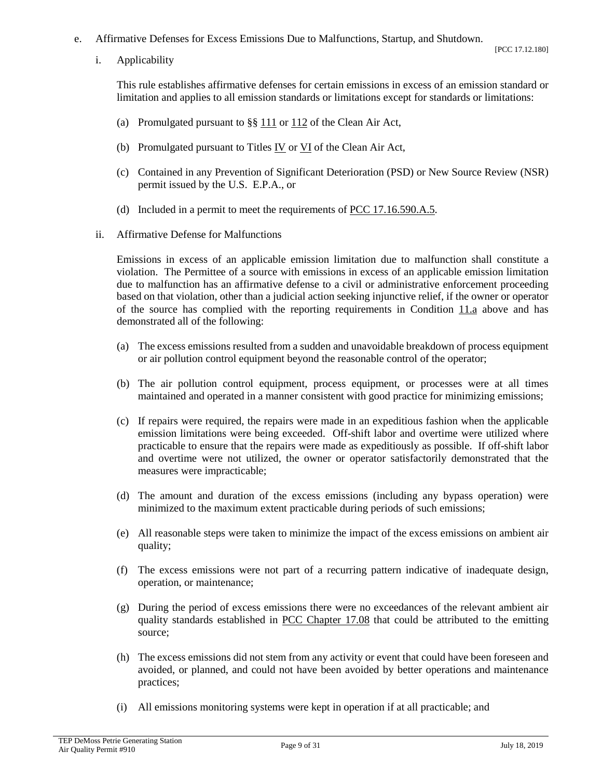- <span id="page-8-1"></span>e. Affirmative Defenses for Excess Emissions Due to Malfunctions, Startup, and Shutdown.
	- i. Applicability

- (a) Promulgated pursuant to  $\S\S 111$  $\S\S 111$  or  $112$  of the Clean Air Act,
- (b) Promulgated pursuant to Titles [IV](https://www.epa.gov/clean-air-act-overview/clean-air-act-title-iv-subchapter-acid-deposition-control) or [VI](https://www.epa.gov/clean-air-act-overview/clean-air-act-title-vi-stratospheric-ozone-protection) of the Clean Air Act,
- (c) Contained in any Prevention of Significant Deterioration (PSD) or New Source Review (NSR) permit issued by the U.S. E.P.A., or
- (d) Included in a permit to meet the requirements o[f PCC 17.16.590.A.5.](http://library.amlegal.com/nxt/gateway.dll/Arizona/pimacounty_az/title17airqualitycontrol/chapter1716emissionlimitingstandards?f=templates$fn=default.htm$3.0$vid=amlegal:pimacounty_az$anc=JD_17.16.590)
- <span id="page-8-0"></span>ii. Affirmative Defense for Malfunctions

Emissions in excess of an applicable emission limitation due to malfunction shall constitute a violation. The Permittee of a source with emissions in excess of an applicable emission limitation due to malfunction has an affirmative defense to a civil or administrative enforcement proceeding based on that violation, other than a judicial action seeking injunctive relief, if the owner or operator of the source has complied with the reporting requirements in Condition [11.a](#page-6-3) above and has demonstrated all of the following:

- (a) The excess emissions resulted from a sudden and unavoidable breakdown of process equipment or air pollution control equipment beyond the reasonable control of the operator;
- (b) The air pollution control equipment, process equipment, or processes were at all times maintained and operated in a manner consistent with good practice for minimizing emissions;
- (c) If repairs were required, the repairs were made in an expeditious fashion when the applicable emission limitations were being exceeded. Off-shift labor and overtime were utilized where practicable to ensure that the repairs were made as expeditiously as possible. If off-shift labor and overtime were not utilized, the owner or operator satisfactorily demonstrated that the measures were impracticable;
- (d) The amount and duration of the excess emissions (including any bypass operation) were minimized to the maximum extent practicable during periods of such emissions;
- (e) All reasonable steps were taken to minimize the impact of the excess emissions on ambient air quality;
- (f) The excess emissions were not part of a recurring pattern indicative of inadequate design, operation, or maintenance;
- (g) During the period of excess emissions there were no exceedances of the relevant ambient air quality standards established in [PCC Chapter 17.08](http://library.amlegal.com/nxt/gateway.dll/Arizona/pimacounty_az/title17airqualitycontrol/chapter1708ambientairqualitystandards?f=templates$fn=default.htm$3.0$vid=amlegal:pimacounty_az$anc=JD_Chapter17.08) that could be attributed to the emitting source;
- (h) The excess emissions did not stem from any activity or event that could have been foreseen and avoided, or planned, and could not have been avoided by better operations and maintenance practices;
- (i) All emissions monitoring systems were kept in operation if at all practicable; and

[PCC 17.12.180]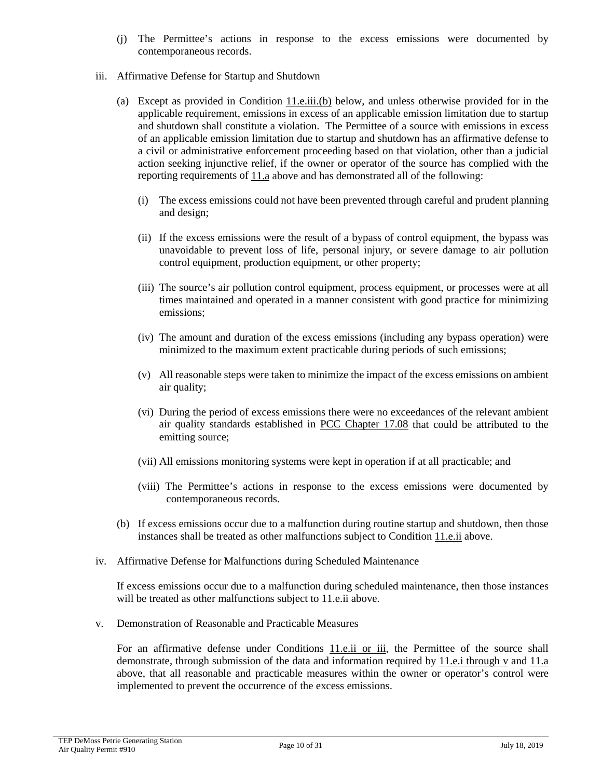- (j) The Permittee's actions in response to the excess emissions were documented by contemporaneous records.
- iii. Affirmative Defense for Startup and Shutdown
	- (a) Except as provided in Condition [11.e.iii.\(b\)](#page-9-0) below, and unless otherwise provided for in the applicable requirement, emissions in excess of an applicable emission limitation due to startup and shutdown shall constitute a violation. The Permittee of a source with emissions in excess of an applicable emission limitation due to startup and shutdown has an affirmative defense to a civil or administrative enforcement proceeding based on that violation, other than a judicial action seeking injunctive relief, if the owner or operator of the source has complied with the reporting requirements of [11.a](#page-6-3) above and has demonstrated all of the following:
		- (i) The excess emissions could not have been prevented through careful and prudent planning and design;
		- (ii) If the excess emissions were the result of a bypass of control equipment, the bypass was unavoidable to prevent loss of life, personal injury, or severe damage to air pollution control equipment, production equipment, or other property;
		- (iii) The source's air pollution control equipment, process equipment, or processes were at all times maintained and operated in a manner consistent with good practice for minimizing emissions;
		- (iv) The amount and duration of the excess emissions (including any bypass operation) were minimized to the maximum extent practicable during periods of such emissions;
		- (v) All reasonable steps were taken to minimize the impact of the excess emissions on ambient air quality;
		- (vi) During the period of excess emissions there were no exceedances of the relevant ambient air quality standards established in [PCC Chapter 17.08](http://library.amlegal.com/nxt/gateway.dll/Arizona/pimacounty_az/title17airqualitycontrol/chapter1708ambientairqualitystandards?f=templates$fn=default.htm$3.0$vid=amlegal:pimacounty_az$anc=JD_Chapter17.08) that could be attributed to the emitting source;
		- (vii) All emissions monitoring systems were kept in operation if at all practicable; and
		- (viii) The Permittee's actions in response to the excess emissions were documented by contemporaneous records.
	- (b) If excess emissions occur due to a malfunction during routine startup and shutdown, then those instances shall be treated as other malfunctions subject to Condition [11.e.ii](#page-8-0) above.
- <span id="page-9-0"></span>iv. Affirmative Defense for Malfunctions during Scheduled Maintenance

If excess emissions occur due to a malfunction during scheduled maintenance, then those instances will be treated as other malfunctions subject to [11.e.ii](#page-8-0) above.

v. Demonstration of Reasonable and Practicable Measures

For an affirmative defense under Conditions [11.e.ii or iii,](#page-8-0) the Permittee of the source shall demonstrate, through submission of the data and information required by [11.e.i through v](#page-8-1) and [11.a](#page-6-3) above, that all reasonable and practicable measures within the owner or operator's control were implemented to prevent the occurrence of the excess emissions.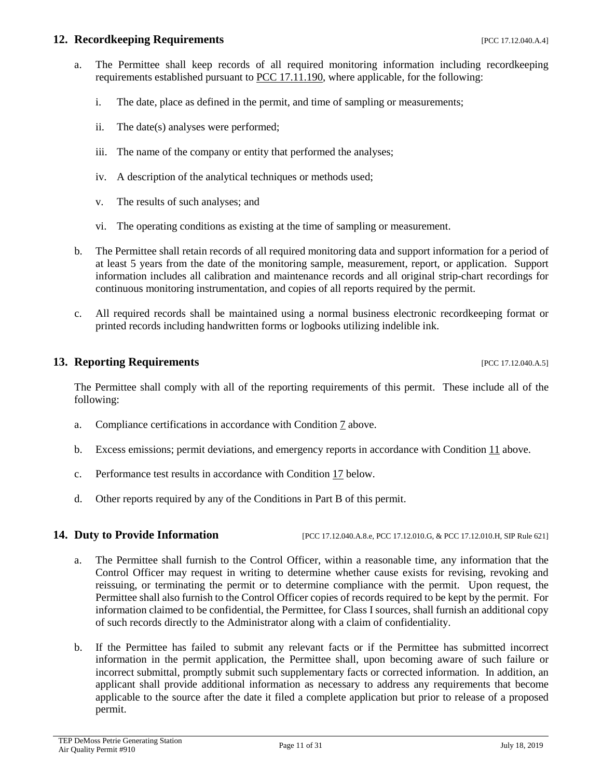#### **12. Recordkeeping Requirements 17.12.040.A.4]**

- a. The Permittee shall keep records of all required monitoring information including recordkeeping requirements established pursuant to [PCC 17.11.190,](http://library.amlegal.com/nxt/gateway.dll/Arizona/pimacounty_az/title17airqualitycontrol/chapter1711generalprovisionsforpermits?f=templates$fn=default.htm$3.0$vid=amlegal:pimacounty_az$anc=JD_17.11.190) where applicable, for the following:
	- i. The date, place as defined in the permit, and time of sampling or measurements;
	- ii. The date(s) analyses were performed;
	- iii. The name of the company or entity that performed the analyses;
	- iv. A description of the analytical techniques or methods used;
	- v. The results of such analyses; and
	- vi. The operating conditions as existing at the time of sampling or measurement.
- b. The Permittee shall retain records of all required monitoring data and support information for a period of at least 5 years from the date of the monitoring sample, measurement, report, or application. Support information includes all calibration and maintenance records and all original strip-chart recordings for continuous monitoring instrumentation, and copies of all reports required by the permit.
- c. All required records shall be maintained using a normal business electronic recordkeeping format or printed records including handwritten forms or logbooks utilizing indelible ink.

### **13. Reporting Requirements** [PCC 17.12.040.A.5]

The Permittee shall comply with all of the reporting requirements of this permit. These include all of the following:

- a. Compliance certifications in accordance with Condition [7](#page-4-1) above.
- b. Excess emissions; permit deviations, and emergency reports in accordance with Condition [11](#page-6-4) above.
- c. Performance test results in accordance with Condition [17](#page-12-0) below.
- d. Other reports required by any of the Conditions in Part B of this permit.

**14.** Duty to Provide Information [PCC 17.12.040.A.8.e, PCC 17.12.010.G, & PCC 17.12.010.H, SIP Rule 621]

- a. The Permittee shall furnish to the Control Officer, within a reasonable time, any information that the Control Officer may request in writing to determine whether cause exists for revising, revoking and reissuing, or terminating the permit or to determine compliance with the permit. Upon request, the Permittee shall also furnish to the Control Officer copies of records required to be kept by the permit. For information claimed to be confidential, the Permittee, for Class I sources, shall furnish an additional copy of such records directly to the Administrator along with a claim of confidentiality.
- b. If the Permittee has failed to submit any relevant facts or if the Permittee has submitted incorrect information in the permit application, the Permittee shall, upon becoming aware of such failure or incorrect submittal, promptly submit such supplementary facts or corrected information. In addition, an applicant shall provide additional information as necessary to address any requirements that become applicable to the source after the date it filed a complete application but prior to release of a proposed permit.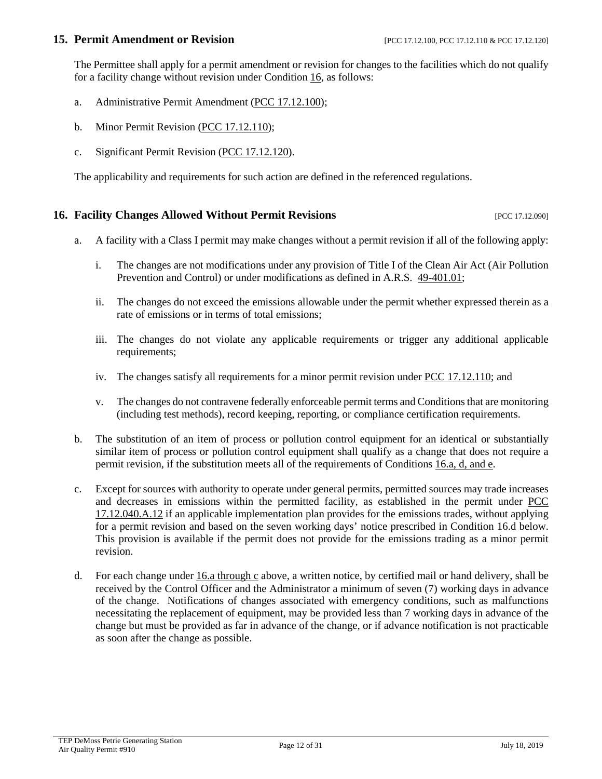#### **15. Permit Amendment or Revision** [PCC 17.12.100, PCC 17.12.110 & PCC 17.12.120]

The Permittee shall apply for a permit amendment or revision for changes to the facilities which do not qualify for a facility change without revision under Condition [16,](#page-11-0) as follows:

- a. Administrative Permit Amendment [\(PCC 17.12.100\)](http://library.amlegal.com/nxt/gateway.dll/Arizona/pimacounty_az/title17airqualitycontrol/chapter1712individualpermitsandpermitrev?f=templates$fn=default.htm$3.0$vid=amlegal:pimacounty_az$anc=JD_17.12.100);
- <span id="page-11-3"></span>b. Minor Permit Revision [\(PCC 17.12.110\)](http://library.amlegal.com/nxt/gateway.dll/Arizona/pimacounty_az/title17airqualitycontrol/chapter1712individualpermitsandpermitrev?f=templates$fn=default.htm$3.0$vid=amlegal:pimacounty_az$anc=JD_17.12.110);
- c. Significant Permit Revision [\(PCC 17.12.120\)](http://library.amlegal.com/nxt/gateway.dll/Arizona/pimacounty_az/title17airqualitycontrol/chapter1712individualpermitsandpermitrev?f=templates$fn=default.htm$3.0$vid=amlegal:pimacounty_az$anc=JD_17.12.120).

The applicability and requirements for such action are defined in the referenced regulations.

# <span id="page-11-0"></span>**16. Facility Changes Allowed Without Permit Revisions Example 20 and Service 21.12.090** [PCC 17.12.090]

- <span id="page-11-1"></span>a. A facility with a Class I permit may make changes without a permit revision if all of the following apply:
	- i. The changes are not modifications under any provision of Title I of the Clean Air Act (Air Pollution Prevention and Control) or under modifications as defined in A.R.S. [49-401.01;](https://www.azleg.gov/viewdocument/?docName=https://www.azleg.gov/ars/49/00401-01.htm)
	- ii. The changes do not exceed the emissions allowable under the permit whether expressed therein as a rate of emissions or in terms of total emissions;
	- iii. The changes do not violate any applicable requirements or trigger any additional applicable requirements;
	- iv. The changes satisfy all requirements for a minor permit revision under [PCC 17.12.110;](http://library.amlegal.com/nxt/gateway.dll/Arizona/pimacounty_az/title17airqualitycontrol/chapter1712individualpermitsandpermitrev?f=templates$fn=default.htm$3.0$vid=amlegal:pimacounty_az$anc=JD_17.12.110) and
	- v. The changes do not contravene federally enforceable permit terms and Conditions that are monitoring (including test methods), record keeping, reporting, or compliance certification requirements.
- b. The substitution of an item of process or pollution control equipment for an identical or substantially similar item of process or pollution control equipment shall qualify as a change that does not require a permit revision, if the substitution meets all of the requirements of Condition[s 16.a, d, and e.](#page-11-1)
- c. Except for sources with authority to operate under general permits, permitted sources may trade increases and decreases in emissions within the permitted facility, as established in the permit under [PCC](http://library.amlegal.com/nxt/gateway.dll/Arizona/pimacounty_az/title17airqualitycontrol/chapter1712individualpermitsandpermitrev?f=templates$fn=default.htm$3.0$vid=amlegal:pimacounty_az$anc=JD_17.12.040)  [17.12.040.A.12](http://library.amlegal.com/nxt/gateway.dll/Arizona/pimacounty_az/title17airqualitycontrol/chapter1712individualpermitsandpermitrev?f=templates$fn=default.htm$3.0$vid=amlegal:pimacounty_az$anc=JD_17.12.040) if an applicable implementation plan provides for the emissions trades, without applying for a permit revision and based on the seven working days' notice prescribed in Condition [16.d](#page-11-2) below. This provision is available if the permit does not provide for the emissions trading as a minor permit revision.
- <span id="page-11-2"></span>d. For each change unde[r 16.a through c](#page-11-1) above, a written notice, by certified mail or hand delivery, shall be received by the Control Officer and the Administrator a minimum of seven (7) working days in advance of the change. Notifications of changes associated with emergency conditions, such as malfunctions necessitating the replacement of equipment, may be provided less than 7 working days in advance of the change but must be provided as far in advance of the change, or if advance notification is not practicable as soon after the change as possible.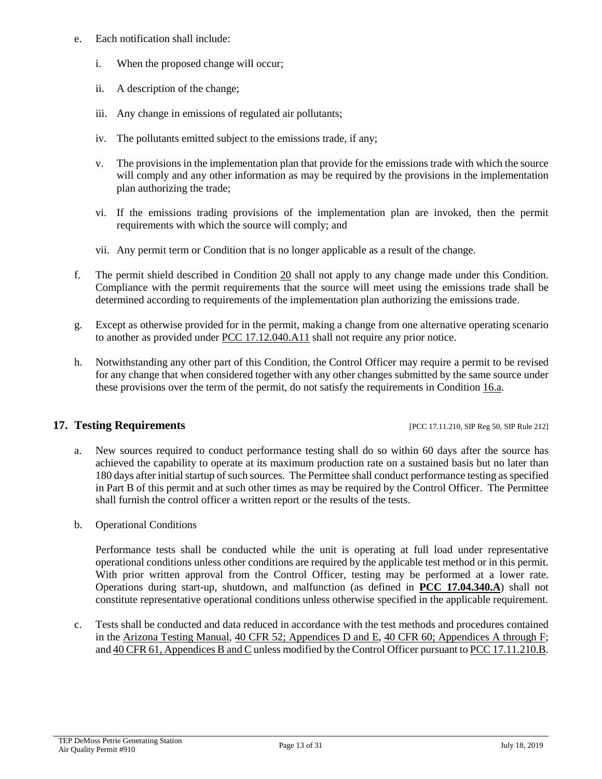- e. Each notification shall include:
	- i. When the proposed change will occur;
	- ii. A description of the change;
	- iii. Any change in emissions of regulated air pollutants;
	- iv. The pollutants emitted subject to the emissions trade, if any;
	- v. The provisions in the implementation plan that provide for the emissions trade with which the source will comply and any other information as may be required by the provisions in the implementation plan authorizing the trade;
	- vi. If the emissions trading provisions of the implementation plan are invoked, then the permit requirements with which the source will comply; and
	- vii. Any permit term or Condition that is no longer applicable as a result of the change.
- f. The permit shield described in Condition  $20$  shall not apply to any change made under this Condition. Compliance with the permit requirements that the source will meet using the emissions trade shall be determined according to requirements of the implementation plan authorizing the emissions trade.
- g. Except as otherwise provided for in the permit, making a change from one alternative operating scenario to another as provided under [PCC 17.12.040.A11](http://library.amlegal.com/nxt/gateway.dll/Arizona/pimacounty_az/title17airqualitycontrol/chapter1712individualpermitsandpermitrev?f=templates$fn=default.htm$3.0$vid=amlegal:pimacounty_az$anc=JD_17.12.040) shall not require any prior notice.
- h. Notwithstanding any other part of this Condition, the Control Officer may require a permit to be revised for any change that when considered together with any other changes submitted by the same source under these provisions over the term of the permit, do not satisfy the requirements in Condition [16.a.](#page-11-1)

### <span id="page-12-0"></span>**17. Testing Requirements in the state of the state of the state of the state of the state 212 and 17. Testing Reg 50, SIP Rule 212]**

- a. New sources required to conduct performance testing shall do so within 60 days after the source has achieved the capability to operate at its maximum production rate on a sustained basis but no later than 180 days after initial startup of such sources. The Permittee shall conduct performance testing as specified in Part B of this permit and at such other times as may be required by the Control Officer. The Permittee shall furnish the control officer a written report or the results of the tests.
- b. Operational Conditions

Performance tests shall be conducted while the unit is operating at full load under representative operational conditions unless other conditions are required by the applicable test method or in this permit. With prior written approval from the Control Officer, testing may be performed at a lower rate. Operations during start-up, shutdown, and malfunction (as defined in **[PCC 17.04.340.A](http://library.amlegal.com/nxt/gateway.dll/Arizona/pimacounty_az/title17airqualitycontrol?f=templates$fn=default.htm$3.0$vid=amlegal:pimacounty_az$anc=JD_17.04.340)**) shall not constitute representative operational conditions unless otherwise specified in the applicable requirement.

c. Tests shall be conducted and data reduced in accordance with the test methods and procedures contained in the [Arizona Testing Manual,](https://legacy.azdeq.gov/environ/air/compliance/download/manual.pdf) [40 CFR 52; Appendices D and E,](https://www.ecfr.gov/cgi-bin/text-idx?SID=7b95ff1d94b78a66114c0ee08b7ca269&mc=true&node=ap40.5.52_12923_652_12999.d&rgn=div9) [40 CFR 60; Appendices A through F;](https://www.ecfr.gov/cgi-bin/text-idx?SID=4116672c57088c8bc9016bcd757a8030&mc=true&node=pt40.9.60&rgn=div5) an[d 40 CFR 61, Appendices B and C](https://www.ecfr.gov/cgi-bin/text-idx?SID=4116672c57088c8bc9016bcd757a8030&mc=true&node=pt40.10.61&rgn=div5) unless modified by the Control Officer pursuant t[o PCC 17.11.210.B.](http://library.amlegal.com/nxt/gateway.dll/Arizona/pimacounty_az/title17airqualitycontrol/chapter1711generalprovisionsforpermits?f=templates$fn=default.htm$3.0$vid=amlegal:pimacounty_az$anc=JD_17.11.210)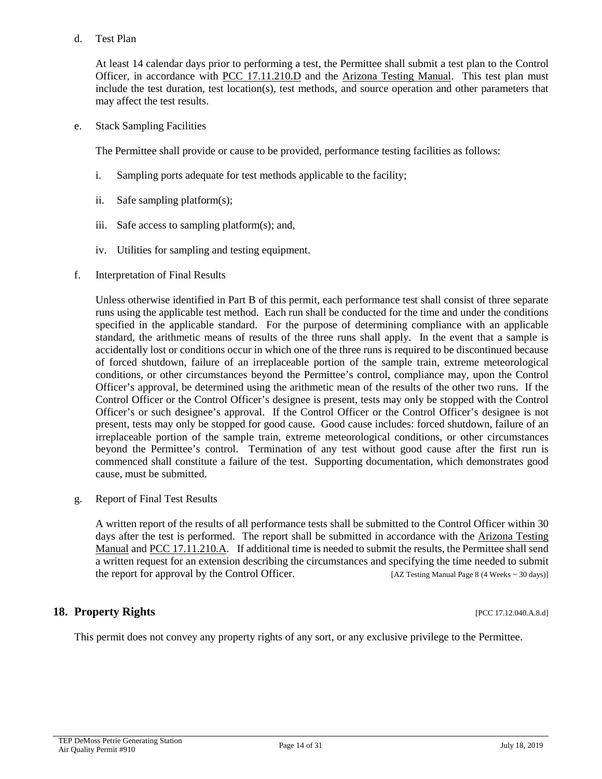#### d. Test Plan

At least 14 calendar days prior to performing a test, the Permittee shall submit a test plan to the Control Officer, in accordance with [PCC 17.11.210.D](http://library.amlegal.com/nxt/gateway.dll/Arizona/pimacounty_az/title17airqualitycontrol/chapter1711generalprovisionsforpermits?f=templates$fn=default.htm$3.0$vid=amlegal:pimacounty_az$anc=JD_17.11.210) and the [Arizona Testing Manual.](https://legacy.azdeq.gov/environ/air/compliance/download/manual.pdf) This test plan must include the test duration, test location(s), test methods, and source operation and other parameters that may affect the test results.

e. Stack Sampling Facilities

The Permittee shall provide or cause to be provided, performance testing facilities as follows:

- i. Sampling ports adequate for test methods applicable to the facility;
- ii. Safe sampling platform(s);
- iii. Safe access to sampling platform(s); and,
- iv. Utilities for sampling and testing equipment.
- f. Interpretation of Final Results

Unless otherwise identified in Part B of this permit, each performance test shall consist of three separate runs using the applicable test method. Each run shall be conducted for the time and under the conditions specified in the applicable standard. For the purpose of determining compliance with an applicable standard, the arithmetic means of results of the three runs shall apply. In the event that a sample is accidentally lost or conditions occur in which one of the three runs is required to be discontinued because of forced shutdown, failure of an irreplaceable portion of the sample train, extreme meteorological conditions, or other circumstances beyond the Permittee's control, compliance may, upon the Control Officer's approval, be determined using the arithmetic mean of the results of the other two runs. If the Control Officer or the Control Officer's designee is present, tests may only be stopped with the Control Officer's or such designee's approval. If the Control Officer or the Control Officer's designee is not present, tests may only be stopped for good cause. Good cause includes: forced shutdown, failure of an irreplaceable portion of the sample train, extreme meteorological conditions, or other circumstances beyond the Permittee's control. Termination of any test without good cause after the first run is commenced shall constitute a failure of the test. Supporting documentation, which demonstrates good cause, must be submitted.

g. Report of Final Test Results

A written report of the results of all performance tests shall be submitted to the Control Officer within 30 days after the test is performed. The report shall be submitted in accordance with the Arizona Testing Manual and [PCC 17.11.210.A.](http://library.amlegal.com/nxt/gateway.dll/Arizona/pimacounty_az/title17airqualitycontrol/chapter1711generalprovisionsforpermits?f=templates$fn=default.htm$3.0$vid=amlegal:pimacounty_az$anc=JD_17.11.210) If additional time is needed to submit the results, the Permittee shall send a written request for an extension describing the circumstances and specifying the time needed to submit the report for approval by the Control Officer. [AZ Testing Manual Page 8 (4 Weeks ~ 30 days)]

### **18. Property Rights** [PCC 17.12.040.A.8.d]

This permit does not convey any property rights of any sort, or any exclusive privilege to the Permittee.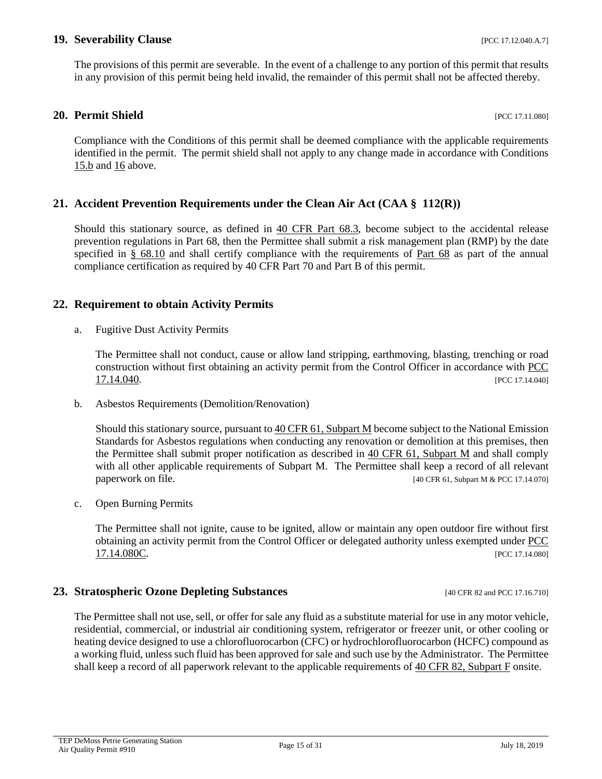#### **19. Severability Clause 18. In the set of the set of the set of the set of the set of the set of the set of the set of the set of the set of the set of the set of the set of the set of the set of the set of the set of t**

The provisions of this permit are severable. In the event of a challenge to any portion of this permit that results in any provision of this permit being held invalid, the remainder of this permit shall not be affected thereby.

### <span id="page-14-0"></span>**20. Permit Shield** [PCC 17.11.080]

Compliance with the Conditions of this permit shall be deemed compliance with the applicable requirements identified in the permit. The permit shield shall not apply to any change made in accordance with Conditions [15.b](#page-11-3) and [16](#page-11-0) above.

### **21. Accident Prevention Requirements under the Clean Air Act (CAA § 112(R))**

Should this stationary source, as defined in [40 CFR Part 68.3,](https://www.ecfr.gov/cgi-bin/text-idx?SID=66dbfe474a4c9b8433bf0900ac536de2&mc=true&node=se40.17.68_13&rgn=div8) become subject to the accidental release prevention regulations in Part 68, then the Permittee shall submit a risk management plan (RMP) by the date specified in [§ 68.10](https://www.ecfr.gov/cgi-bin/retrieveECFR?gp=&SID=66dbfe474a4c9b8433bf0900ac536de2&mc=true&n=pt40.17.68&r=PART&ty=HTML#se40.17.68_110) and shall certify compliance with the requirements of [Part 68](https://www.ecfr.gov/cgi-bin/text-idx?SID=54a762ccb16b223860dd9ad6a963b12f&mc=true&node=pt40.17.68&rgn=div5) as part of the annual compliance certification as required by [40 CFR Part 70](https://www.ecfr.gov/cgi-bin/text-idx?SID=54a762ccb16b223860dd9ad6a963b12f&mc=true&node=pt40.17.70&rgn=div5) and Part B of this permit.

#### **22. Requirement to obtain Activity Permits**

a. Fugitive Dust Activity Permits

The Permittee shall not conduct, cause or allow land stripping, earthmoving, blasting, trenching or road construction without first obtaining an activity permit from the Control Officer in accordance with [PCC](http://library.amlegal.com/nxt/gateway.dll/Arizona/pimacounty_az/title17airqualitycontrol/chapter1714activitypermits?f=templates$fn=default.htm$3.0$vid=amlegal:pimacounty_az$anc=JD_17.14.040)  [17.14.040.](http://library.amlegal.com/nxt/gateway.dll/Arizona/pimacounty_az/title17airqualitycontrol/chapter1714activitypermits?f=templates$fn=default.htm$3.0$vid=amlegal:pimacounty_az$anc=JD_17.14.040) [PCC 17.14.040]

b. Asbestos Requirements (Demolition/Renovation)

Should this stationary source, pursuant t[o 40 CFR 61, Subpart M](https://www.ecfr.gov/cgi-bin/text-idx?SID=55e2a1ac58ab42dc969cf5727732ee92&mc=true&node=pt40.10.61&rgn=div5#sp40.10.61.m) become subject to the National Emission Standards for Asbestos regulations when conducting any renovation or demolition at this premises, then the Permittee shall submit proper notification as described in 40 CFR 61, [Subpart M](https://www.ecfr.gov/cgi-bin/text-idx?SID=55e2a1ac58ab42dc969cf5727732ee92&mc=true&node=pt40.10.61&rgn=div5#sp40.10.61.m) and shall comply with all other applicable requirements of Subpart M. The Permittee shall keep a record of all relevant paperwork on file. [40 CFR 61, Subpart M & PCC 17.14.070]

c. Open Burning Permits

The Permittee shall not ignite, cause to be ignited, allow or maintain any open outdoor fire without first obtaining an activity permit from the Control Officer or delegated authority unless exempted under [PCC](http://library.amlegal.com/nxt/gateway.dll/Arizona/pimacounty_az/title17airqualitycontrol/chapter1714activitypermits?f=templates$fn=default.htm$3.0$vid=amlegal:pimacounty_az$anc=JD_17.14.040)  **[17.14.080C.](http://library.amlegal.com/nxt/gateway.dll/Arizona/pimacounty_az/title17airqualitycontrol/chapter1714activitypermits?f=templates$fn=default.htm$3.0$vid=amlegal:pimacounty_az$anc=JD_17.14.040)** [PCC 17.14.080]

#### **23. Stratospheric Ozone Depleting Substances** [40 CFR 82 and PCC 17.16.710]

The Permittee shall not use, sell, or offer for sale any fluid as a substitute material for use in any motor vehicle, residential, commercial, or industrial air conditioning system, refrigerator or freezer unit, or other cooling or heating device designed to use a chlorofluorocarbon (CFC) or hydrochlorofluorocarbon (HCFC) compound as a working fluid, unless such fluid has been approved for sale and such use by the Administrator. The Permittee shall keep a record of all paperwork relevant to the applicable requirements of [40 CFR 82, Subpart F](https://www.ecfr.gov/cgi-bin/text-idx?SID=38bd7be30f4aa6756c8d9fe6be46b15c&mc=true&node=sp40.21.82.f&rgn=div6) onsite.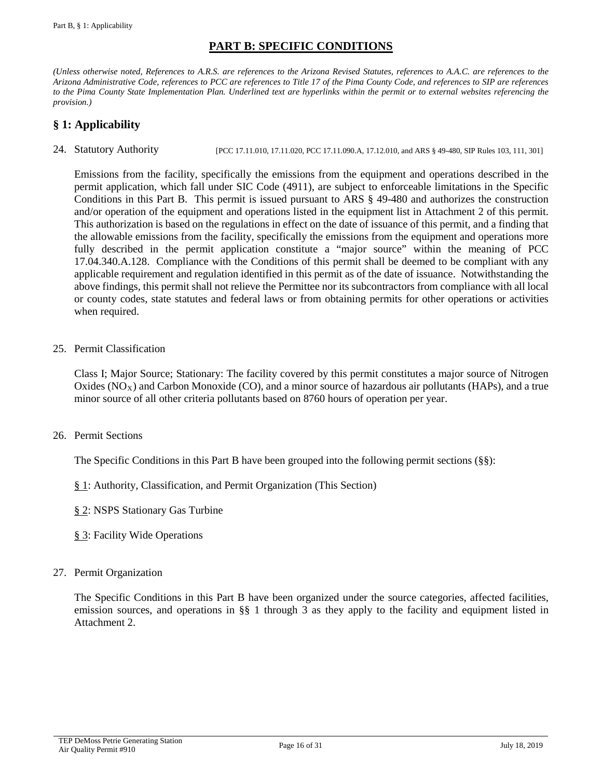# **PART B: SPECIFIC CONDITIONS**

*(Unless otherwise noted, References to A.R.S. are references to the Arizona Revised Statutes, references to A.A.C. are references to the Arizona Administrative Code, references to PCC are references to Title 17 of the Pima County Code, and references to SIP are references to the Pima County State Implementation Plan. Underlined text are hyperlinks within the permit or to external websites referencing the provision.)*

# <span id="page-15-0"></span>**§ 1: Applicability**

24. Statutory Authority [PCC 17.11.010, 17.11.020, PCC 17.11.090.A, 17.12.010, and ARS § 49-480, SIP Rules 103, 111, 301]

Emissions from the facility, specifically the emissions from the equipment and operations described in the permit application, which fall under SIC Code (4911), are subject to enforceable limitations in the Specific Conditions in this Part B. This permit is issued pursuant to ARS § 49-480 and authorizes the construction and/or operation of the equipment and operations listed in the equipment list in Attachment 2 of this permit. This authorization is based on the regulations in effect on the date of issuance of this permit, and a finding that the allowable emissions from the facility, specifically the emissions from the equipment and operations more fully described in the permit application constitute a "major source" within the meaning of PCC 17.04.340.A.128. Compliance with the Conditions of this permit shall be deemed to be compliant with any applicable requirement and regulation identified in this permit as of the date of issuance. Notwithstanding the above findings, this permit shall not relieve the Permittee nor its subcontractors from compliance with all local or county codes, state statutes and federal laws or from obtaining permits for other operations or activities when required.

25. Permit Classification

Class I; Major Source; Stationary: The facility covered by this permit constitutes a major source of Nitrogen Oxides ( $NO<sub>X</sub>$ ) and Carbon Monoxide (CO), and a minor source of hazardous air pollutants (HAPs), and a true minor source of all other criteria pollutants based on 8760 hours of operation per year.

26. Permit Sections

The Specific Conditions in this Part B have been grouped into the following permit sections (§§):

- [§ 1:](#page-15-0) Authority, Classification, and Permit Organization (This Section)
- [§ 2:](#page-16-0) NSPS Stationary Gas Turbine
- [§ 3:](#page-23-0) Facility Wide Operations
- 27. Permit Organization

The Specific Conditions in this Part B have been organized under the source categories, affected facilities, emission sources, and operations in §§ 1 through 3 as they apply to the facility and equipment listed in Attachment 2.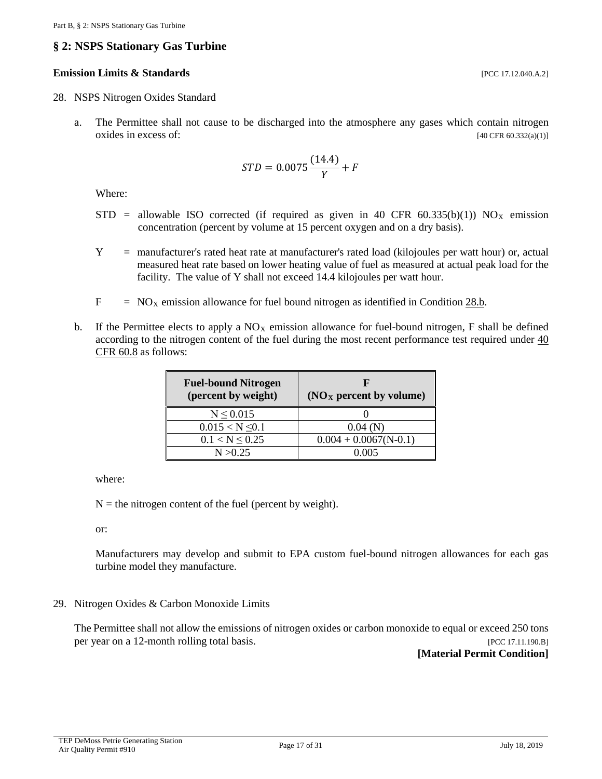# <span id="page-16-0"></span>**§ 2: NSPS Stationary Gas Turbine**

#### **Emission Limits & Standards** [PCC 17.12.040.A.2]

- <span id="page-16-3"></span>28. NSPS Nitrogen Oxides Standard
	- a. The Permittee shall not cause to be discharged into the atmosphere any gases which contain nitrogen oxides in excess of:  $[40 \text{ CFR } 60.332(a)(1)]$

$$
STD = 0.0075 \frac{(14.4)}{Y} + F
$$

Where:

- $STD$  = allowable ISO corrected (if required as given in 40 CFR 60.335(b)(1)) NO<sub>X</sub> emission concentration (percent by volume at 15 percent oxygen and on a dry basis).
- Y = manufacturer's rated heat rate at manufacturer's rated load (kilojoules per watt hour) or, actual measured heat rate based on lower heating value of fuel as measured at actual peak load for the facility. The value of Y shall not exceed 14.4 kilojoules per watt hour.
- $F = NO<sub>x</sub>$  emission allowance for fuel bound nitrogen as identified in Conditio[n 28.b.](#page-16-1)
- <span id="page-16-1"></span>b. If the Permittee elects to apply a  $NO<sub>X</sub>$  emission allowance for fuel-bound nitrogen, F shall be defined according to the nitrogen content of the fuel during the most recent performance test required under [40](https://www.ecfr.gov/cgi-bin/text-idx?SID=00ebf50462ddc056bcf097ba54b54c83&mc=true&node=se40.7.60_18&rgn=div8)  [CFR 60.8](https://www.ecfr.gov/cgi-bin/text-idx?SID=00ebf50462ddc056bcf097ba54b54c83&mc=true&node=se40.7.60_18&rgn=div8) as follows:

| <b>Fuel-bound Nitrogen</b><br>(percent by weight) | (NO <sub>X</sub> percent by volume) |
|---------------------------------------------------|-------------------------------------|
| $N \le 0.015$                                     |                                     |
| $0.015 < N \leq 0.1$                              | 0.04(N)                             |
| $0.1 < N \leq 0.25$                               | $0.004 + 0.0067(N-0.1)$             |
| N > 0.25                                          | 0.005                               |

where:

 $N =$  the nitrogen content of the fuel (percent by weight).

or:

Manufacturers may develop and submit to EPA custom fuel-bound nitrogen allowances for each gas turbine model they manufacture.

<span id="page-16-2"></span>29. Nitrogen Oxides & Carbon Monoxide Limits

The Permittee shall not allow the emissions of nitrogen oxides or carbon monoxide to equal or exceed 250 tons per year on a 12-month rolling total basis. [PCC 17.11.190.B]

**[Material Permit Condition]**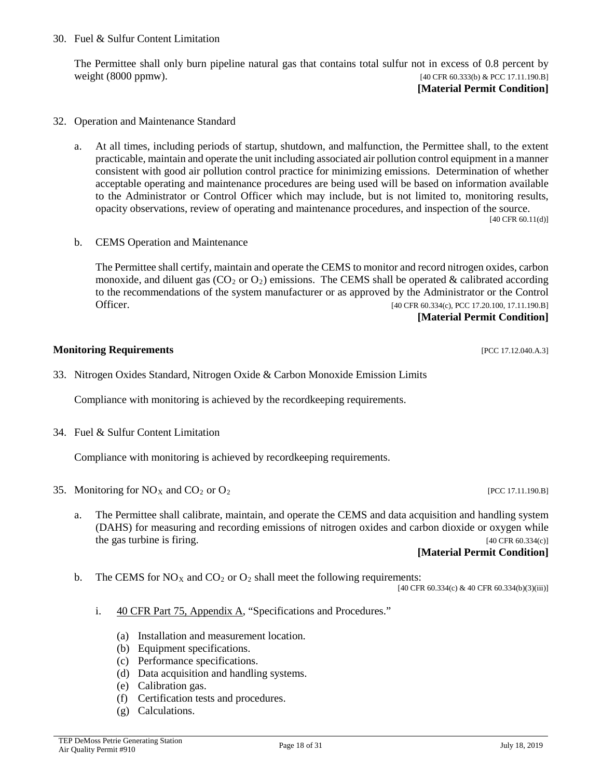30. Fuel & Sulfur Content Limitation

The Permittee shall only burn pipeline natural gas that contains total sulfur not in excess of 0.8 percent by weight (8000 ppmw). [40 CFR 60.333(b) & PCC 17.11.190.B]

**[Material Permit Condition]**

- 32. Operation and Maintenance Standard
	- a. At all times, including periods of startup, shutdown, and malfunction, the Permittee shall, to the extent practicable, maintain and operate the unit including associated air pollution control equipment in a manner consistent with good air pollution control practice for minimizing emissions. Determination of whether acceptable operating and maintenance procedures are being used will be based on information available to the Administrator or Control Officer which may include, but is not limited to, monitoring results, opacity observations, review of operating and maintenance procedures, and inspection of the source.

[40 CFR 60.11(d)]

b. CEMS Operation and Maintenance

The Permittee shall certify, maintain and operate the CEMS to monitor and record nitrogen oxides, carbon monoxide, and diluent gas ( $CO<sub>2</sub>$  or  $O<sub>2</sub>$ ) emissions. The CEMS shall be operated & calibrated according to the recommendations of the system manufacturer or as approved by the Administrator or the Control Officer. [40 CFR 60.334(c), PCC 17.20.100, 17.11.190.B]

**[Material Permit Condition]**

#### **Monitoring Requirements and the sequence of the sequence of the sequence of the sequence of the sequence of the sequence of the sequence of the sequence of the sequence of the sequence of the sequence of the sequence of**

33. Nitrogen Oxides Standard, Nitrogen Oxide & Carbon Monoxide Emission Limits

Compliance with monitoring is achieved by the recordkeeping requirements.

34. Fuel & Sulfur Content Limitation

Compliance with monitoring is achieved by recordkeeping requirements.

- 35. Monitoring for  $N\text{O}_X$  and  $\text{CO}_2$  or  $\text{O}_2$  [PCC 17.11.190.B]
	- a. The Permittee shall calibrate, maintain, and operate the CEMS and data acquisition and handling system (DAHS) for measuring and recording emissions of nitrogen oxides and carbon dioxide or oxygen while the gas turbine is firing. [40 CFR 60.334(c)] **[Material Permit Condition]**

b. The CEMS for  $NO<sub>X</sub>$  and  $CO<sub>2</sub>$  or  $O<sub>2</sub>$  shall meet the following requirements:

[40 CFR 60.334(c) & 40 CFR 60.334(b)(3)(iii)]

- i. [40 CFR Part 75, Appendix A,](https://www.ecfr.gov/cgi-bin/text-idx?SID=6e0508b7425f8cc9edd58c8ff0c58ccb&mc=true&node=pt40.18.75&rgn=div5#ap40.18.75_175.a) "Specifications and Procedures."
	- (a) Installation and measurement location.
	- (b) Equipment specifications.
	- (c) Performance specifications.
	- (d) Data acquisition and handling systems.
	- (e) Calibration gas.
	- (f) Certification tests and procedures.
	- (g) Calculations.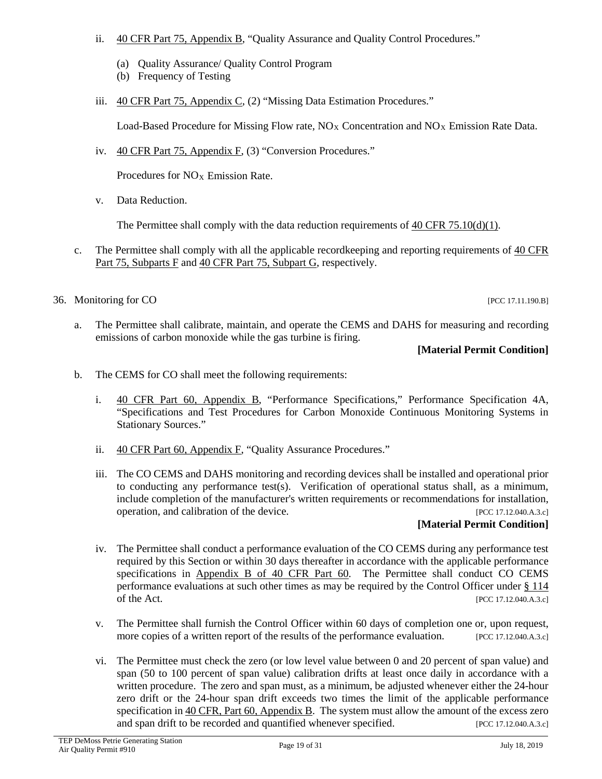- ii. [40 CFR Part 75, Appendix B,](https://www.ecfr.gov/cgi-bin/text-idx?SID=6e0508b7425f8cc9edd58c8ff0c58ccb&mc=true&node=pt40.18.75&rgn=div5#ap40.18.75_175.b) "Quality Assurance and Quality Control Procedures."
	- (a) Quality Assurance/ Quality Control Program
	- (b) Frequency of Testing
- iii. [40 CFR Part 75, Appendix C,](https://www.ecfr.gov/cgi-bin/text-idx?SID=6e0508b7425f8cc9edd58c8ff0c58ccb&mc=true&node=pt40.18.75&rgn=div5#ap40.18.75_175.c) (2) "Missing Data Estimation Procedures."

Load-Based Procedure for Missing Flow rate,  $N_{\text{Ox}}$  Concentration and  $N_{\text{Ox}}$  Emission Rate Data.

iv. [40 CFR Part 75, Appendix F,](https://www.ecfr.gov/cgi-bin/text-idx?SID=6e0508b7425f8cc9edd58c8ff0c58ccb&mc=true&node=pt40.18.75&rgn=div5#ap40.18.75_175.f) (3) "Conversion Procedures."

Procedures for  $NO<sub>X</sub>$  Emission Rate.

v. Data Reduction.

The Permittee shall comply with the data reduction requirements of  $40$  CFR  $75.10(d)(1)$ .

- c. The Permittee shall comply with all the applicable recordkeeping and reporting requirements of [40 CFR](https://www.ecfr.gov/cgi-bin/text-idx?SID=6e0508b7425f8cc9edd58c8ff0c58ccb&mc=true&node=sp40.18.75.f&rgn=div6)  [Part 75, Subparts F](https://www.ecfr.gov/cgi-bin/text-idx?SID=6e0508b7425f8cc9edd58c8ff0c58ccb&mc=true&node=sp40.18.75.f&rgn=div6) and [40 CFR Part 75, Subpart G,](https://www.ecfr.gov/cgi-bin/text-idx?SID=6e0508b7425f8cc9edd58c8ff0c58ccb&mc=true&node=sp40.18.75.g&rgn=div6) respectively.
- 36. Monitoring for CO [PCC 17.11.190.B]

a. The Permittee shall calibrate, maintain, and operate the CEMS and DAHS for measuring and recording emissions of carbon monoxide while the gas turbine is firing.

### **[Material Permit Condition]**

- b. The CEMS for CO shall meet the following requirements:
	- i. [40 CFR Part 60, Appendix B,](https://www.ecfr.gov/cgi-bin/text-idx?SID=7c497845d87084388459f4c3a6877b83&mc=true&node=pt40.9.60&rgn=div5#ap40.9.60.b) "Performance Specifications," Performance Specification 4A, "Specifications and Test Procedures for Carbon Monoxide Continuous Monitoring Systems in Stationary Sources."
	- ii. [40 CFR Part 60, Appendix F,](https://www.ecfr.gov/cgi-bin/text-idx?SID=ee64e74206fc2ce7c42b50897d2899ee&mc=true&node=pt40.9.60&rgn=div5#ap40.9.60.f) "Quality Assurance Procedures."
	- iii. The CO CEMS and DAHS monitoring and recording devices shall be installed and operational prior to conducting any performance test(s). Verification of operational status shall, as a minimum, include completion of the manufacturer's written requirements or recommendations for installation, operation, and calibration of the device. [PCC 17.12.040.A.3.c]

# **[Material Permit Condition]**

- iv. The Permittee shall conduct a performance evaluation of the CO CEMS during any performance test required by this Section or within 30 days thereafter in accordance with the applicable performance specifications in [Appendix B of 40 CFR Part 60.](https://www.ecfr.gov/cgi-bin/text-idx?SID=7c497845d87084388459f4c3a6877b83&mc=true&node=pt40.9.60&rgn=div5#ap40.9.60.b) The Permittee shall conduct CO CEMS performance evaluations at such other times as may be required by the Control Officer under [§ 114](https://www.govinfo.gov/content/pkg/USCODE-2013-title42/html/USCODE-2013-title42-chap85-subchapI-partA-sec7414.htm) of the Act. [PCC 17.12.040.A.3.c]
- v. The Permittee shall furnish the Control Officer within 60 days of completion one or, upon request, more copies of a written report of the results of the performance evaluation. [PCC 17.12.040.A.3.c]
- vi. The Permittee must check the zero (or low level value between 0 and 20 percent of span value) and span (50 to 100 percent of span value) calibration drifts at least once daily in accordance with a written procedure. The zero and span must, as a minimum, be adjusted whenever either the 24-hour zero drift or the 24-hour span drift exceeds two times the limit of the applicable performance specification i[n 40 CFR, Part 60, Appendix B.](https://www.ecfr.gov/cgi-bin/text-idx?SID=7c497845d87084388459f4c3a6877b83&mc=true&node=pt40.9.60&rgn=div5#ap40.9.60.b) The system must allow the amount of the excess zero and span drift to be recorded and quantified whenever specified. [PCC 17.12.040.A.3.c]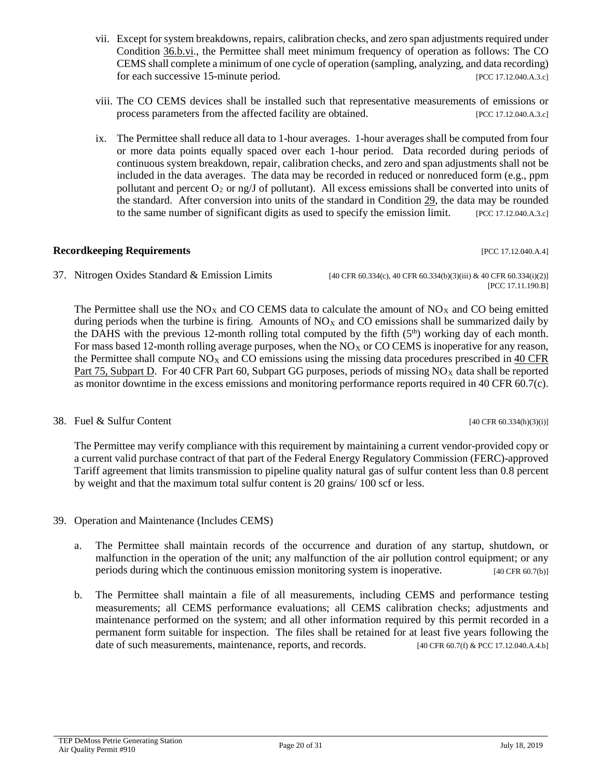- vii. Except for system breakdowns, repairs, calibration checks, and zero span adjustments required under Condition [36.b.vi.](https://www.govinfo.gov/content/pkg/USCODE-2013-title42/html/USCODE-2013-title42-chap85-subchapI-partA-sec7414.htm), the Permittee shall meet minimum frequency of operation as follows: The CO CEMS shall complete a minimum of one cycle of operation (sampling, analyzing, and data recording) for each successive 15-minute period. [PCC 17.12.040.A.3.c]
- viii. The CO CEMS devices shall be installed such that representative measurements of emissions or process parameters from the affected facility are obtained. [PCC 17.12.040.A.3.c]
- ix. The Permittee shall reduce all data to 1-hour averages. 1-hour averages shall be computed from four or more data points equally spaced over each 1-hour period. Data recorded during periods of continuous system breakdown, repair, calibration checks, and zero and span adjustments shall not be included in the data averages. The data may be recorded in reduced or nonreduced form (e.g., ppm pollutant and percent  $O_2$  or ng/J of pollutant). All excess emissions shall be converted into units of the standard. After conversion into units of the standard in Condition [29,](#page-16-2) the data may be rounded to the same number of significant digits as used to specify the emission limit. [PCC 17.12.040.A.3.c]

#### **Recordkeeping Requirements and the cordinate of the cordinate of the cordinate of the cordinate of the cordinate of the cordinate of the cordinate of the cordinate of the cordinate of the cordinate of the cordinate of t**

37. Nitrogen Oxides Standard & Emission Limits [40 CFR 60.334(c), 40 CFR 60.334(b)(3)(iii) & 40 CFR 60.334(i)(2)]

[PCC 17.11.190.B]

The Permittee shall use the  $NO<sub>X</sub>$  and CO CEMS data to calculate the amount of  $NO<sub>X</sub>$  and CO being emitted during periods when the turbine is firing. Amounts of  $NO<sub>X</sub>$  and CO emissions shall be summarized daily by the DAHS with the previous 12-month rolling total computed by the fifth  $(5<sup>th</sup>)$  working day of each month. For mass based 12-month rolling average purposes, when the  $NO<sub>X</sub>$  or CO CEMS is inoperative for any reason, the Permittee shall compute  $NO<sub>X</sub>$  and CO emissions using the missing data procedures prescribed in 40 CFR [Part 75, Subpart D.](https://www.ecfr.gov/cgi-bin/text-idx?SID=bc79df4352d24951b63debf7590a4ece&mc=true&node=sp40.18.75.d&rgn=div6) For 40 CFR Part 60, Subpart GG purposes, periods of missing  $NO<sub>X</sub>$  data shall be reported as monitor downtime in the excess emissions and monitoring performance reports required in 40 CFR 60.7(c).

### 38. Fuel & Sulfur Content [40 CFR 60.334(h)(3)(i)]

The Permittee may verify compliance with this requirement by maintaining a current vendor-provided copy or a current valid purchase contract of that part of the Federal Energy Regulatory Commission (FERC)-approved Tariff agreement that limits transmission to pipeline quality natural gas of sulfur content less than 0.8 percent by weight and that the maximum total sulfur content is 20 grains/ 100 scf or less.

- 39. Operation and Maintenance (Includes CEMS)
	- a. The Permittee shall maintain records of the occurrence and duration of any startup, shutdown, or malfunction in the operation of the unit; any malfunction of the air pollution control equipment; or any periods during which the continuous emission monitoring system is inoperative. [40 CFR 60.7(b)]
	- b. The Permittee shall maintain a file of all measurements, including CEMS and performance testing measurements; all CEMS performance evaluations; all CEMS calibration checks; adjustments and maintenance performed on the system; and all other information required by this permit recorded in a permanent form suitable for inspection. The files shall be retained for at least five years following the date of such measurements, maintenance, reports, and records. [40 CFR 60.7(f) & PCC 17.12.040.A.4.b]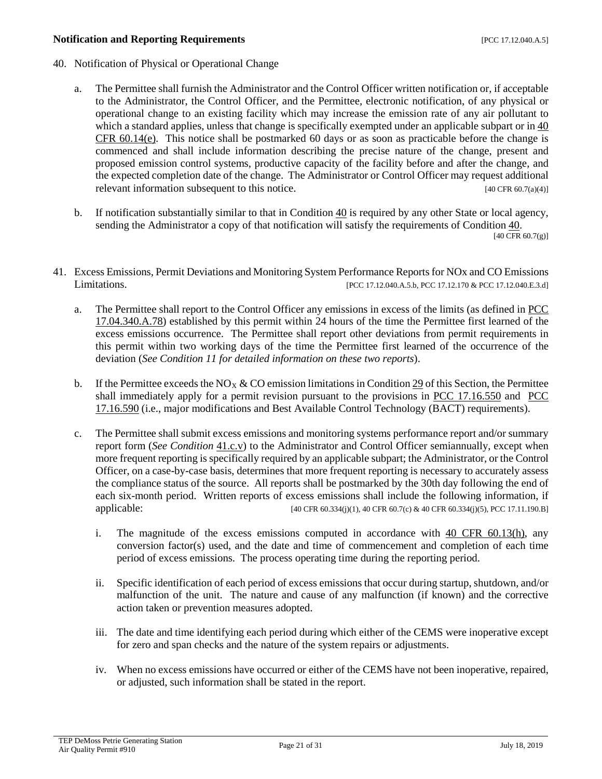#### **Notification and Reporting Requirements** [PCC 17.12.040.A.5]

- <span id="page-20-0"></span>40. Notification of Physical or Operational Change
	- a. The Permittee shall furnish the Administrator and the Control Officer written notification or, if acceptable to the Administrator, the Control Officer, and the Permittee, electronic notification, of any physical or operational change to an existing facility which may increase the emission rate of any air pollutant to which a standard applies, unless that change is specifically exempted under an applicable subpart or in 40 CFR  $60.14(e)$ . This notice shall be postmarked 60 days or as soon as practicable before the change is commenced and shall include information describing the precise nature of the change, present and proposed emission control systems, productive capacity of the facility before and after the change, and the expected completion date of the change. The Administrator or Control Officer may request additional relevant information subsequent to this notice. [40 CFR 60.7(a)(4)]
	- b. If notification substantially similar to that in Condition [40](#page-20-0) is required by any other State or local agency, sending the Administrator a copy of that notification will satisfy the requirements of Condition [40.](#page-20-0)  $[40 \text{ CFR } 60.7(g)]$
- <span id="page-20-1"></span>41. Excess Emissions, Permit Deviations and Monitoring System Performance Reports for NOx and CO Emissions Limitations. [PCC 17.12.040.A.5.b, PCC 17.12.170 & PCC 17.12.040.E.3.d]
	- a. The Permittee shall report to the Control Officer any emissions in excess of the limits (as defined in [PCC](http://library.amlegal.com/nxt/gateway.dll/Arizona/pimacounty_az/title17airqualitycontrol?f=templates$fn=default.htm$3.0$vid=amlegal:pimacounty_az$anc=JD_17.04.340)  [17.04.340.A.78\)](http://library.amlegal.com/nxt/gateway.dll/Arizona/pimacounty_az/title17airqualitycontrol?f=templates$fn=default.htm$3.0$vid=amlegal:pimacounty_az$anc=JD_17.04.340) established by this permit within 24 hours of the time the Permittee first learned of the excess emissions occurrence. The Permittee shall report other deviations from permit requirements in this permit within two working days of the time the Permittee first learned of the occurrence of the deviation (*See Condition 11 for detailed information on these two reports*).
	- b. If the Permittee exceeds the NO<sub>X</sub> & CO emission limitations in Condition [29](#page-16-2) of this Section, the Permittee shall immediately apply for a permit revision pursuant to the provisions in [PCC 17.16.550](http://library.amlegal.com/nxt/gateway.dll/Arizona/pimacounty_az/title17airqualitycontrol/chapter1716emissionlimitingstandards?f=templates$fn=default.htm$3.0$vid=amlegal:pimacounty_az$anc=JD_17.16.550) and [PCC](http://library.amlegal.com/nxt/gateway.dll/Arizona/pimacounty_az/title17airqualitycontrol/chapter1716emissionlimitingstandards?f=templates$fn=default.htm$3.0$vid=amlegal:pimacounty_az$anc=JD_17.16.590)  [17.16.590](http://library.amlegal.com/nxt/gateway.dll/Arizona/pimacounty_az/title17airqualitycontrol/chapter1716emissionlimitingstandards?f=templates$fn=default.htm$3.0$vid=amlegal:pimacounty_az$anc=JD_17.16.590) (i.e., major modifications and Best Available Control Technology (BACT) requirements).
	- c. The Permittee shall submit excess emissions and monitoring systems performance report and/or summary report form (*See Condition* [41.c.v\)](#page-20-1) to the Administrator and Control Officer semiannually, except when more frequent reporting is specifically required by an applicable subpart; the Administrator, or the Control Officer, on a case-by-case basis, determines that more frequent reporting is necessary to accurately assess the compliance status of the source. All reports shall be postmarked by the 30th day following the end of each six-month period. Written reports of excess emissions shall include the following information, if applicable: [40 CFR 60.334(j)(1), 40 CFR 60.7(c) & 40 CFR 60.334(j)(5), PCC 17.11.190.B]
		- i. The magnitude of the excess emissions computed in accordance with 40 CFR [60.13\(h\),](https://www.ecfr.gov/cgi-bin/text-idx?SID=d75fcb3a40cc3257d1ddd2564f8a8722&mc=true&node=se40.7.60_113&rgn=div8) any conversion factor(s) used, and the date and time of commencement and completion of each time period of excess emissions. The process operating time during the reporting period.
		- ii. Specific identification of each period of excess emissions that occur during startup, shutdown, and/or malfunction of the unit. The nature and cause of any malfunction (if known) and the corrective action taken or prevention measures adopted.
		- iii. The date and time identifying each period during which either of the CEMS were inoperative except for zero and span checks and the nature of the system repairs or adjustments.
		- iv. When no excess emissions have occurred or either of the CEMS have not been inoperative, repaired, or adjusted, such information shall be stated in the report.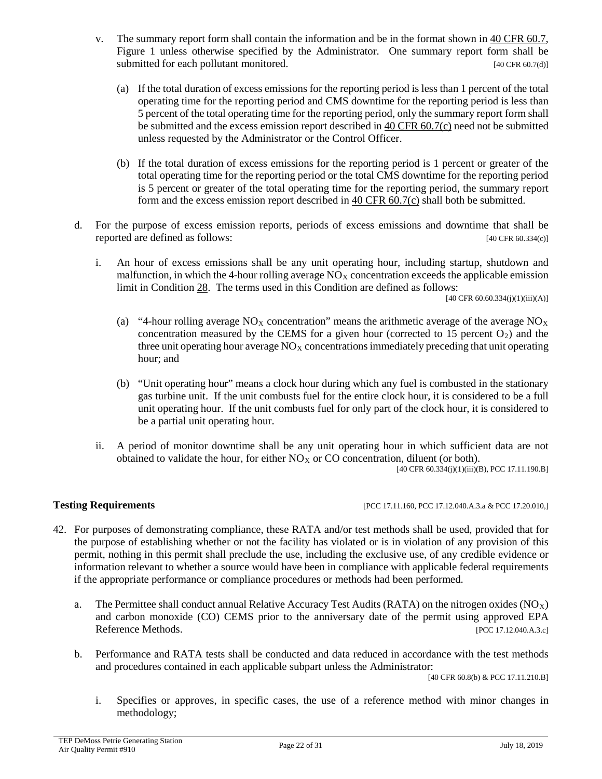- v. The summary report form shall contain the information and be in the format shown in [40 CFR 60.7,](https://www.ecfr.gov/cgi-bin/text-idx?SID=d75fcb3a40cc3257d1ddd2564f8a8722&mc=true&node=se40.7.60_17&rgn=div8) Figure 1 unless otherwise specified by the Administrator. One summary report form shall be submitted for each pollutant monitored. [40 CFR 60.7(d)]
	- (a) If the total duration of excess emissions for the reporting period is less than 1 percent of the total operating time for the reporting period and CMS downtime for the reporting period is less than 5 percent of the total operating time for the reporting period, only the summary report form shall be submitted and the excess emission report described in [40 CFR 60.7\(c\)](https://www.ecfr.gov/cgi-bin/text-idx?SID=d75fcb3a40cc3257d1ddd2564f8a8722&mc=true&node=se40.7.60_17&rgn=div8) need not be submitted unless requested by the Administrator or the Control Officer.
	- (b) If the total duration of excess emissions for the reporting period is 1 percent or greater of the total operating time for the reporting period or the total CMS downtime for the reporting period is 5 percent or greater of the total operating time for the reporting period, the summary report form and the excess emission report described in [40 CFR 60.7\(c\)](https://www.ecfr.gov/cgi-bin/text-idx?SID=d75fcb3a40cc3257d1ddd2564f8a8722&mc=true&node=se40.7.60_17&rgn=div8) shall both be submitted.
- d. For the purpose of excess emission reports, periods of excess emissions and downtime that shall be reported are defined as follows: [40 CFR 60.334(c)]
	- i. An hour of excess emissions shall be any unit operating hour, including startup, shutdown and malfunction, in which the 4-hour rolling average  $NO<sub>X</sub>$  concentration exceeds the applicable emission limit in Condition [28.](#page-16-3) The terms used in this Condition are defined as follows:

[40 CFR 60.60.334(j)(1)(iii)(A)]

- (a) "4-hour rolling average  $NO<sub>X</sub>$  concentration" means the arithmetic average of the average  $NO<sub>X</sub>$ concentration measured by the CEMS for a given hour (corrected to 15 percent  $O_2$ ) and the three unit operating hour average  $NO<sub>X</sub>$  concentrations immediately preceding that unit operating hour; and
- (b) "Unit operating hour" means a clock hour during which any fuel is combusted in the stationary gas turbine unit. If the unit combusts fuel for the entire clock hour, it is considered to be a full unit operating hour. If the unit combusts fuel for only part of the clock hour, it is considered to be a partial unit operating hour.
- ii. A period of monitor downtime shall be any unit operating hour in which sufficient data are not obtained to validate the hour, for either  $NO<sub>X</sub>$  or CO concentration, diluent (or both).

[40 CFR 60.334(j)(1)(iii)(B), PCC 17.11.190.B]

**Testing Requirements [PCC 17.11.160, PCC 17.12.040.A.3.a & PCC 17.20.010.]** 

- 42. For purposes of demonstrating compliance, these RATA and/or test methods shall be used, provided that for the purpose of establishing whether or not the facility has violated or is in violation of any provision of this permit, nothing in this permit shall preclude the use, including the exclusive use, of any credible evidence or information relevant to whether a source would have been in compliance with applicable federal requirements if the appropriate performance or compliance procedures or methods had been performed.
	- a. The Permittee shall conduct annual Relative Accuracy Test Audits (RATA) on the nitrogen oxides ( $NO<sub>X</sub>$ ) and carbon monoxide (CO) CEMS prior to the anniversary date of the permit using approved EPA Reference Methods. [PCC 17.12.040.A.3.c]
	- b. Performance and RATA tests shall be conducted and data reduced in accordance with the test methods and procedures contained in each applicable subpart unless the Administrator:

[40 CFR 60.8(b) & PCC 17.11.210.B]

i. Specifies or approves, in specific cases, the use of a reference method with minor changes in methodology;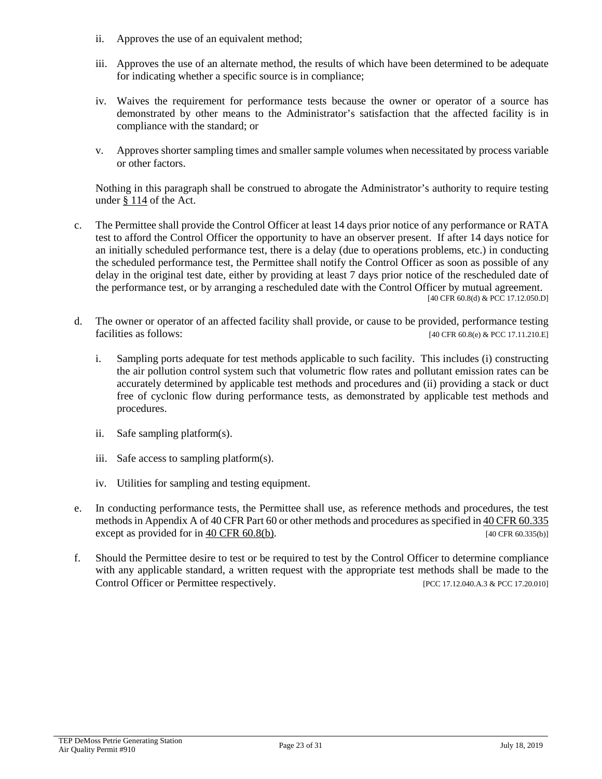- ii. Approves the use of an equivalent method;
- iii. Approves the use of an alternate method, the results of which have been determined to be adequate for indicating whether a specific source is in compliance;
- iv. Waives the requirement for performance tests because the owner or operator of a source has demonstrated by other means to the Administrator's satisfaction that the affected facility is in compliance with the standard; or
- v. Approves shorter sampling times and smaller sample volumes when necessitated by process variable or other factors.

Nothing in this paragraph shall be construed to abrogate the Administrator's authority to require testing under § [114](https://www.govinfo.gov/content/pkg/USCODE-2013-title42/html/USCODE-2013-title42-chap85-subchapI-partA-sec7414.htm) of the Act.

- c. The Permittee shall provide the Control Officer at least 14 days prior notice of any performance or RATA test to afford the Control Officer the opportunity to have an observer present. If after 14 days notice for an initially scheduled performance test, there is a delay (due to operations problems, etc.) in conducting the scheduled performance test, the Permittee shall notify the Control Officer as soon as possible of any delay in the original test date, either by providing at least 7 days prior notice of the rescheduled date of the performance test, or by arranging a rescheduled date with the Control Officer by mutual agreement. [40 CFR 60.8(d) & PCC 17.12.050.D]
- d. The owner or operator of an affected facility shall provide, or cause to be provided, performance testing facilities as follows:  $[40 \text{ CFR } 60.8(e) \& \text{PCC } 17.11.210 \text{ E}]$ 
	- i. Sampling ports adequate for test methods applicable to such facility. This includes (i) constructing the air pollution control system such that volumetric flow rates and pollutant emission rates can be accurately determined by applicable test methods and procedures and (ii) providing a stack or duct free of cyclonic flow during performance tests, as demonstrated by applicable test methods and procedures.
	- ii. Safe sampling platform(s).
	- iii. Safe access to sampling platform(s).
	- iv. Utilities for sampling and testing equipment.
- e. In conducting performance tests, the Permittee shall use, as reference methods and procedures, the test methods in Appendix A of 40 CFR Part 60 or other methods and procedures as specified i[n 40 CFR 60.335](https://www.ecfr.gov/cgi-bin/text-idx?SID=2e2cc8be25d8fe0dbd8258f1332483b2&mc=true&node=se40.7.60_1335&rgn=div8) except as provided for in 40 CFR  $60.8(b)$ . [40 CFR  $60.335(b)$ ]
- f. Should the Permittee desire to test or be required to test by the Control Officer to determine compliance with any applicable standard, a written request with the appropriate test methods shall be made to the Control Officer or Permittee respectively. [PCC 17.12.040.A.3 & PCC 17.20.010]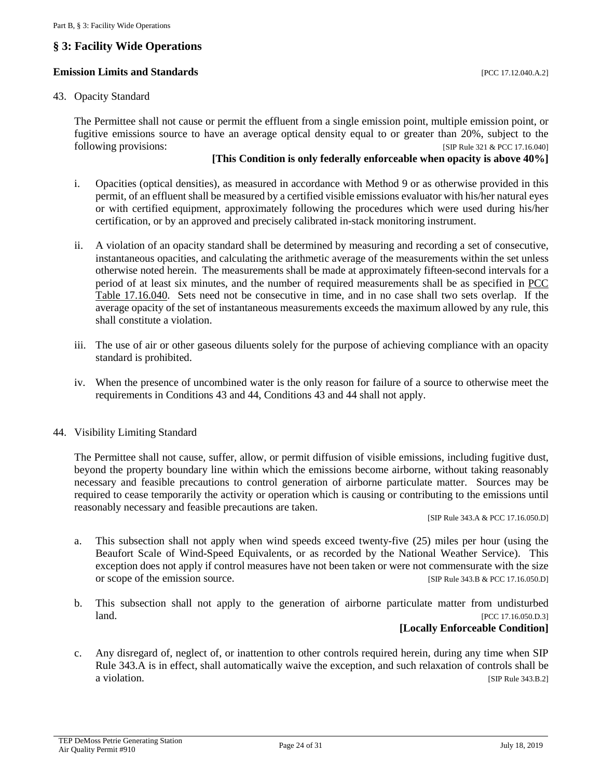## <span id="page-23-0"></span>**§ 3: Facility Wide Operations**

#### **Emission Limits and Standards Exercíal Exercíal Exercíal Exercíal Exercíal Exercíal Exercíal Exercíal Exercíal Exercíal Exercíal Exercíal Exercíal Exercíal Exercíal Exercíal Exercíal Exercíal Exercíal Exercíal Exercíal**

#### 43. Opacity Standard

The Permittee shall not cause or permit the effluent from a single emission point, multiple emission point, or fugitive emissions source to have an average optical density equal to or greater than 20%, subject to the following provisions: [SIP Rule 321 & PCC 17.16.040]

#### **[This Condition is only federally enforceable when opacity is above 40%]**

- i. Opacities (optical densities), as measured in accordance with Method 9 or as otherwise provided in this permit, of an effluent shall be measured by a certified visible emissions evaluator with his/her natural eyes or with certified equipment, approximately following the procedures which were used during his/her certification, or by an approved and precisely calibrated in-stack monitoring instrument.
- ii. A violation of an opacity standard shall be determined by measuring and recording a set of consecutive, instantaneous opacities, and calculating the arithmetic average of the measurements within the set unless otherwise noted herein. The measurements shall be made at approximately fifteen-second intervals for a period of at least six minutes, and the number of required measurements shall be as specified in [PCC](http://library.amlegal.com/nxt/gateway.dll/Arizona/pimacounty_az/title17airqualitycontrol/chapter1716emissionlimitingstandards?f=templates$fn=default.htm$3.0$vid=amlegal:pimacounty_az$anc=JD_Table17.16.040)  [Table 17.16.040.](http://library.amlegal.com/nxt/gateway.dll/Arizona/pimacounty_az/title17airqualitycontrol/chapter1716emissionlimitingstandards?f=templates$fn=default.htm$3.0$vid=amlegal:pimacounty_az$anc=JD_Table17.16.040) Sets need not be consecutive in time, and in no case shall two sets overlap. If the average opacity of the set of instantaneous measurements exceeds the maximum allowed by any rule, this shall constitute a violation.
- iii. The use of air or other gaseous diluents solely for the purpose of achieving compliance with an opacity standard is prohibited.
- iv. When the presence of uncombined water is the only reason for failure of a source to otherwise meet the requirements in Conditions 43 and 44, Conditions 43 and 44 shall not apply.

#### 44. Visibility Limiting Standard

The Permittee shall not cause, suffer, allow, or permit diffusion of visible emissions, including fugitive dust, beyond the property boundary line within which the emissions become airborne, without taking reasonably necessary and feasible precautions to control generation of airborne particulate matter. Sources may be required to cease temporarily the activity or operation which is causing or contributing to the emissions until reasonably necessary and feasible precautions are taken.

[SIP Rule 343.A & PCC 17.16.050.D]

- a. This subsection shall not apply when wind speeds exceed twenty-five (25) miles per hour (using the Beaufort Scale of Wind-Speed Equivalents, or as recorded by the National Weather Service). This exception does not apply if control measures have not been taken or were not commensurate with the size or scope of the emission source. [SIP Rule 343.B & PCC 17.16.050.D]
- b. This subsection shall not apply to the generation of airborne particulate matter from undisturbed **land.** [PCC 17.16.050.D.3]

#### **[Locally Enforceable Condition]**

c. Any disregard of, neglect of, or inattention to other controls required herein, during any time when SIP Rule 343.A is in effect, shall automatically waive the exception, and such relaxation of controls shall be a violation. [SIP Rule 343.B.2]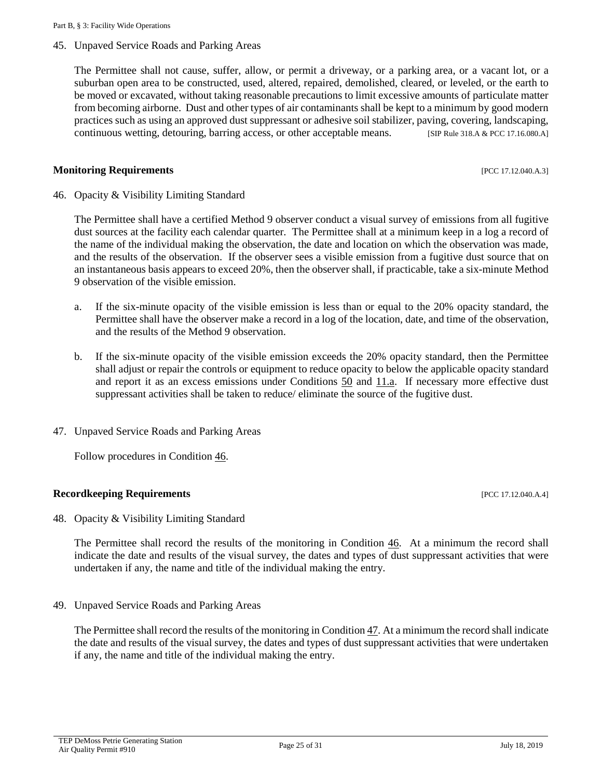45. Unpaved Service Roads and Parking Areas

The Permittee shall not cause, suffer, allow, or permit a driveway, or a parking area, or a vacant lot, or a suburban open area to be constructed, used, altered, repaired, demolished, cleared, or leveled, or the earth to be moved or excavated, without taking reasonable precautions to limit excessive amounts of particulate matter from becoming airborne. Dust and other types of air contaminants shall be kept to a minimum by good modern practices such as using an approved dust suppressant or adhesive soil stabilizer, paving, covering, landscaping, continuous wetting, detouring, barring access, or other acceptable means. [SIP Rule 318.A & PCC 17.16.080.A]

#### **Monitoring Requirements and the sequence of the sequence of the sequence of the sequence of the sequence of the sequence of the sequence of the sequence of the sequence of the sequence of the sequence of the sequence of**

<span id="page-24-0"></span>46. Opacity & Visibility Limiting Standard

The Permittee shall have a certified Method 9 observer conduct a visual survey of emissions from all fugitive dust sources at the facility each calendar quarter. The Permittee shall at a minimum keep in a log a record of the name of the individual making the observation, the date and location on which the observation was made, and the results of the observation. If the observer sees a visible emission from a fugitive dust source that on an instantaneous basis appears to exceed 20%, then the observer shall, if practicable, take a six-minute Method 9 observation of the visible emission.

- a. If the six-minute opacity of the visible emission is less than or equal to the 20% opacity standard, the Permittee shall have the observer make a record in a log of the location, date, and time of the observation, and the results of the Method 9 observation.
- b. If the six-minute opacity of the visible emission exceeds the 20% opacity standard, then the Permittee shall adjust or repair the controls or equipment to reduce opacity to below the applicable opacity standard and report it as an excess emissions under Conditions [50](#page-25-1) and [11.a.](#page-6-3) If necessary more effective dust suppressant activities shall be taken to reduce/ eliminate the source of the fugitive dust.
- <span id="page-24-1"></span>47. Unpaved Service Roads and Parking Areas

Follow procedures in Condition [46.](#page-24-0)

#### **Recordkeeping Requirements** [PCC 17.12.040.A.4]

48. Opacity & Visibility Limiting Standard

The Permittee shall record the results of the monitoring in Condition [46.](#page-24-0) At a minimum the record shall indicate the date and results of the visual survey, the dates and types of dust suppressant activities that were undertaken if any, the name and title of the individual making the entry.

49. Unpaved Service Roads and Parking Areas

The Permittee shall record the results of the monitoring in Condition [47.](#page-24-1) At a minimum the record shall indicate the date and results of the visual survey, the dates and types of dust suppressant activities that were undertaken if any, the name and title of the individual making the entry.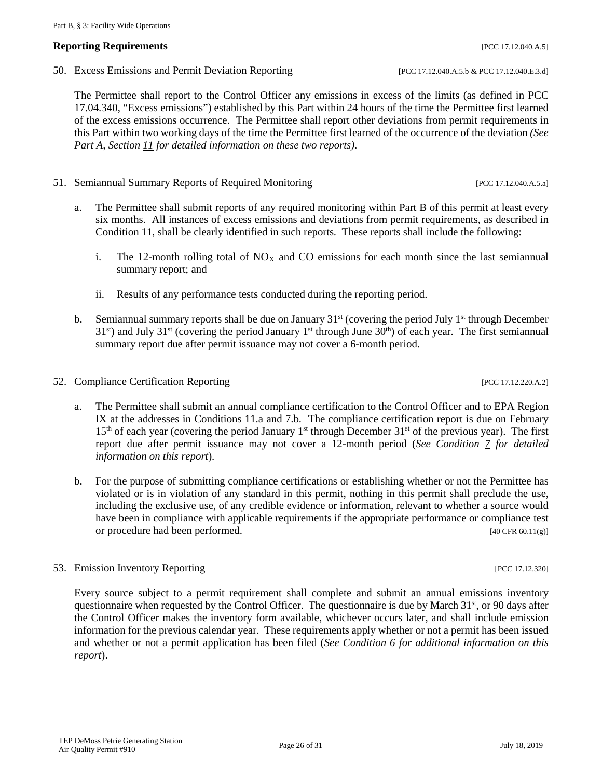#### **Reporting Requirements and the properties in the contract of the contract of the contract of the contract of the contract of the contract of the contract of the contract of the contract of the contract of the contract o**

<span id="page-25-1"></span>50. Excess Emissions and Permit Deviation Reporting [PCC 17.12.040.A.5.b & PCC 17.12.040.E.3.d]

The Permittee shall report to the Control Officer any emissions in excess of the limits (as defined in PCC 17.04.340, "Excess emissions") established by this Part within 24 hours of the time the Permittee first learned of the excess emissions occurrence. The Permittee shall report other deviations from permit requirements in this Part within two working days of the time the Permittee first learned of the occurrence of the deviation *(See Part A, Section [11](#page-6-4) for detailed information on these two reports)*.

- 51. Semiannual Summary Reports of Required Monitoring [PCC 17.12.040.A.5.a]
	- a. The Permittee shall submit reports of any required monitoring within Part B of this permit at least every six months. All instances of excess emissions and deviations from permit requirements, as described in Condition [11,](#page-6-4) shall be clearly identified in such reports. These reports shall include the following:
		- i. The 12-month rolling total of  $NO<sub>X</sub>$  and CO emissions for each month since the last semiannual summary report; and
		- ii. Results of any performance tests conducted during the reporting period.
	- b. Semiannual summary reports shall be due on January 31<sup>st</sup> (covering the period July 1<sup>st</sup> through December  $31<sup>st</sup>$ ) and July  $31<sup>st</sup>$  (covering the period January  $1<sup>st</sup>$  through June  $30<sup>th</sup>$ ) of each year. The first semiannual summary report due after permit issuance may not cover a 6-month period.
- <span id="page-25-0"></span>52. Compliance Certification Reporting [PCC 17.12.220.A.2]
	- a. The Permittee shall submit an annual compliance certification to the Control Officer and to EPA Region IX at the addresses in Conditions [11.a](#page-6-3) and [7.b.](#page-5-0) The compliance certification report is due on February  $15<sup>th</sup>$  of each year (covering the period January 1<sup>st</sup> through December 31<sup>st</sup> of the previous year). The first report due after permit issuance may not cover a 12-month period (*See Condition [7](#page-4-1) for detailed information on this report*).
	- b. For the purpose of submitting compliance certifications or establishing whether or not the Permittee has violated or is in violation of any standard in this permit, nothing in this permit shall preclude the use, including the exclusive use, of any credible evidence or information, relevant to whether a source would have been in compliance with applicable requirements if the appropriate performance or compliance test or procedure had been performed. [40 CFR 60.11(g)]
- 53. Emission Inventory Reporting [PCC 17.12.320]

Every source subject to a permit requirement shall complete and submit an annual emissions inventory questionnaire when requested by the Control Officer. The questionnaire is due by March 31<sup>st</sup>, or 90 days after the Control Officer makes the inventory form available, whichever occurs later, and shall include emission information for the previous calendar year. These requirements apply whether or not a permit has been issued and whether or not a permit application has been filed (*See Condition [6](#page-4-2) for additional information on this report*).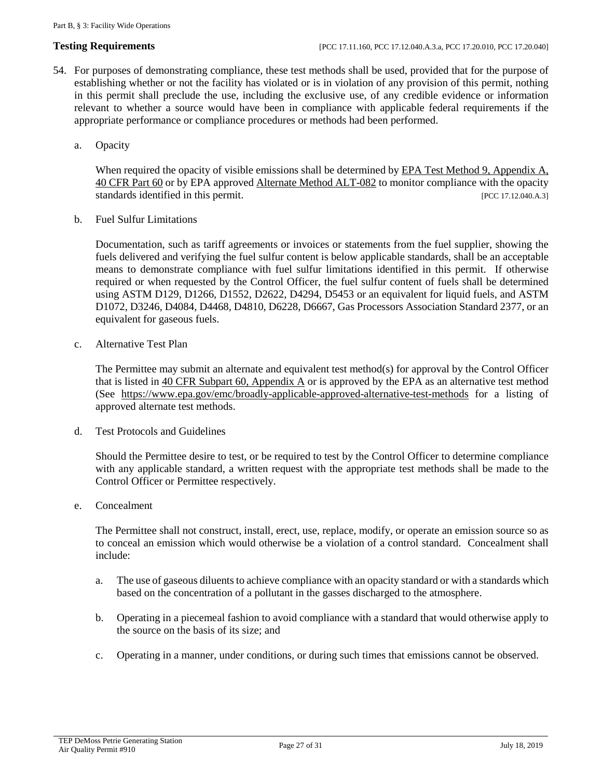- 54. For purposes of demonstrating compliance, these test methods shall be used, provided that for the purpose of establishing whether or not the facility has violated or is in violation of any provision of this permit, nothing in this permit shall preclude the use, including the exclusive use, of any credible evidence or information relevant to whether a source would have been in compliance with applicable federal requirements if the appropriate performance or compliance procedures or methods had been performed.
	- a. Opacity

When required the opacity of visible emissions shall be determined by EPA Test Method 9, Appendix A, [40 CFR Part 60](https://www.ecfr.gov/cgi-bin/text-idx?SID=4b23a4a069532fb7d76442f59a0bcb6e&mc=true&node=pt40.9.60&rgn=div5#ap40.9.60.a_64) or by EPA approve[d Alternate Method ALT-082](https://www3.epa.gov/ttn/emc/approalt/ALT082.pdf) to monitor compliance with the opacity standards identified in this permit. [PCC 17.12.040.A.3]

b. Fuel Sulfur Limitations

Documentation, such as tariff agreements or invoices or statements from the fuel supplier, showing the fuels delivered and verifying the fuel sulfur content is below applicable standards, shall be an acceptable means to demonstrate compliance with fuel sulfur limitations identified in this permit. If otherwise required or when requested by the Control Officer, the fuel sulfur content of fuels shall be determined using ASTM D129, D1266, D1552, D2622, D4294, D5453 or an equivalent for liquid fuels, and ASTM D1072, D3246, D4084, D4468, D4810, D6228, D6667, Gas Processors Association Standard 2377, or an equivalent for gaseous fuels.

c. Alternative Test Plan

The Permittee may submit an alternate and equivalent test method(s) for approval by the Control Officer that is listed i[n 40 CFR Subpart 60, Appendix A](https://www.ecfr.gov/cgi-bin/text-idx?SID=4b23a4a069532fb7d76442f59a0bcb6e&mc=true&node=pt40.9.60&rgn=div5#ap40.9.60.a_64) or is approved by the EPA as an alternative test method (See <https://www.epa.gov/emc/broadly-applicable-approved-alternative-test-methods> for a listing of approved alternate test methods.

d. Test Protocols and Guidelines

Should the Permittee desire to test, or be required to test by the Control Officer to determine compliance with any applicable standard, a written request with the appropriate test methods shall be made to the Control Officer or Permittee respectively.

e. Concealment

The Permittee shall not construct, install, erect, use, replace, modify, or operate an emission source so as to conceal an emission which would otherwise be a violation of a control standard. Concealment shall include:

- a. The use of gaseous diluents to achieve compliance with an opacity standard or with a standards which based on the concentration of a pollutant in the gasses discharged to the atmosphere.
- b. Operating in a piecemeal fashion to avoid compliance with a standard that would otherwise apply to the source on the basis of its size; and
- c. Operating in a manner, under conditions, or during such times that emissions cannot be observed.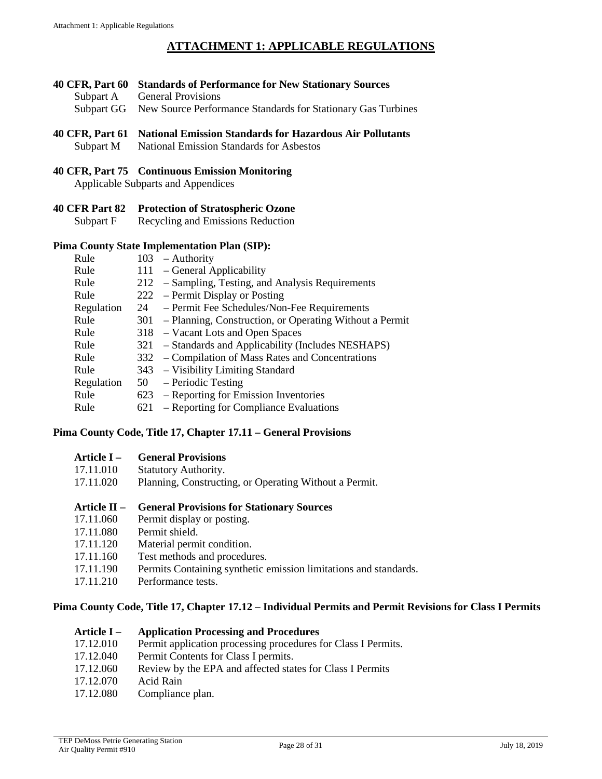# **ATTACHMENT 1: APPLICABLE REGULATIONS**

- <span id="page-27-0"></span>**40 CFR, Part 60 Standards of Performance for New Stationary Sources**
	- Subpart A General Provisions
	- Subpart GG New Source Performance Standards for Stationary Gas Turbines

### **40 CFR, Part 61 National Emission Standards for Hazardous Air Pollutants**

Subpart M National Emission Standards for Asbestos

#### **40 CFR, Part 75 Continuous Emission Monitoring**

Applicable Subparts and Appendices

**40 CFR Part 82 Protection of Stratospheric Ozone**

Subpart F Recycling and Emissions Reduction

#### **Pima County State Implementation Plan (SIP):**

| Rule       | $103$ – Authority                                           |
|------------|-------------------------------------------------------------|
| Rule       | 111 - General Applicability                                 |
| Rule       | 212 – Sampling, Testing, and Analysis Requirements          |
| Rule       | $222$ – Permit Display or Posting                           |
| Regulation | 24 – Permit Fee Schedules/Non-Fee Requirements              |
| Rule       | 301 – Planning, Construction, or Operating Without a Permit |
| Rule       | 318 – Vacant Lots and Open Spaces                           |
| Rule       | 321 – Standards and Applicability (Includes NESHAPS)        |
| Rule       | 332 – Compilation of Mass Rates and Concentrations          |
| Rule       | 343 – Visibility Limiting Standard                          |
| Regulation | $50 - Periodic Testing$                                     |
| Rule       | 623 – Reporting for Emission Inventories                    |
| Rule       | 621 – Reporting for Compliance Evaluations                  |
|            |                                                             |

### **Pima County Code, Title 17, Chapter 17.11 – General Provisions**

| Article I –<br><b>General Provisions</b> |
|------------------------------------------|
|------------------------------------------|

- 17.11.010 Statutory Authority.
- 17.11.020 Planning, Constructing, or Operating Without a Permit.
- **Article II – General Provisions for Stationary Sources**
- 17.11.060 Permit display or posting.
- 17.11.080 Permit shield.
- 17.11.120 Material permit condition.
- 17.11.160 Test methods and procedures.
- 17.11.190 Permits Containing synthetic emission limitations and standards.
- 17.11.210 Performance tests.

#### **Pima County Code, Title 17, Chapter 17.12 – Individual Permits and Permit Revisions for Class I Permits**

#### **Article I – Application Processing and Procedures**

- 17.12.010 Permit application processing procedures for Class I Permits.
- 17.12.040 Permit Contents for Class I permits.
- 17.12.060 Review by the EPA and affected states for Class I Permits
- 17.12.070 Acid Rain
- 17.12.080 Compliance plan.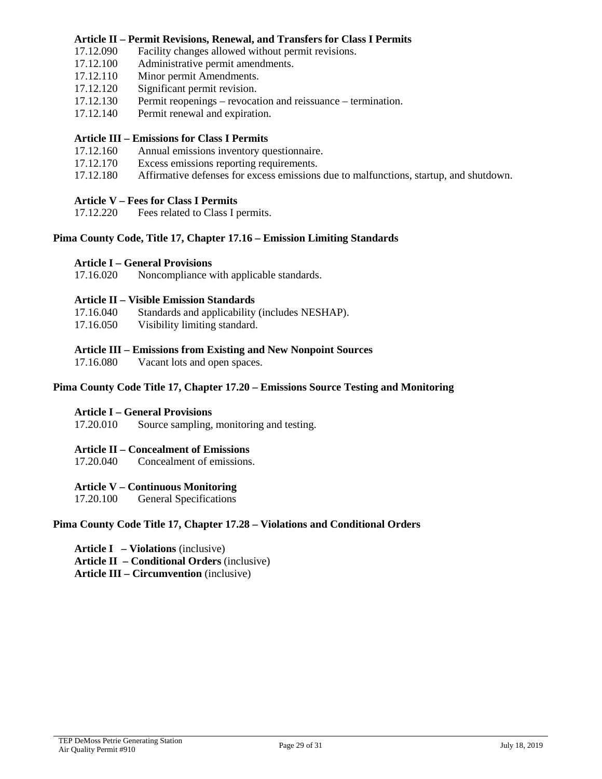#### **Article II – Permit Revisions, Renewal, and Transfers for Class I Permits**

- 17.12.090 Facility changes allowed without permit revisions.
- 17.12.100 Administrative permit amendments.<br>17.12.110 Minor permit Amendments.
- Minor permit Amendments.
- 17.12.120 Significant permit revision.
- 17.12.130 Permit reopenings revocation and reissuance termination.
- 17.12.140 Permit renewal and expiration.

#### **Article III – Emissions for Class I Permits**

- 17.12.160 Annual emissions inventory questionnaire.
- 17.12.170 Excess emissions reporting requirements.
- 17.12.180 Affirmative defenses for excess emissions due to malfunctions, startup, and shutdown.

#### **Article V – Fees for Class I Permits**

17.12.220 Fees related to Class I permits.

#### **Pima County Code, Title 17, Chapter 17.16 – Emission Limiting Standards**

#### **Article I – General Provisions**

17.16.020 Noncompliance with applicable standards.

#### **Article II – Visible Emission Standards**

- 17.16.040 Standards and applicability (includes NESHAP).
- 17.16.050 Visibility limiting standard.

#### **Article III – Emissions from Existing and New Nonpoint Sources**

17.16.080 Vacant lots and open spaces.

#### **Pima County Code Title 17, Chapter 17.20 – Emissions Source Testing and Monitoring**

#### **Article I – General Provisions**

17.20.010 Source sampling, monitoring and testing.

#### **Article II – Concealment of Emissions**

17.20.040 Concealment of emissions.

#### **Article V – Continuous Monitoring**

17.20.100 General Specifications

#### **Pima County Code Title 17, Chapter 17.28 – Violations and Conditional Orders**

- **Article I – Violations** (inclusive)
- **Article II – Conditional Orders** (inclusive)

**Article III – Circumvention** (inclusive)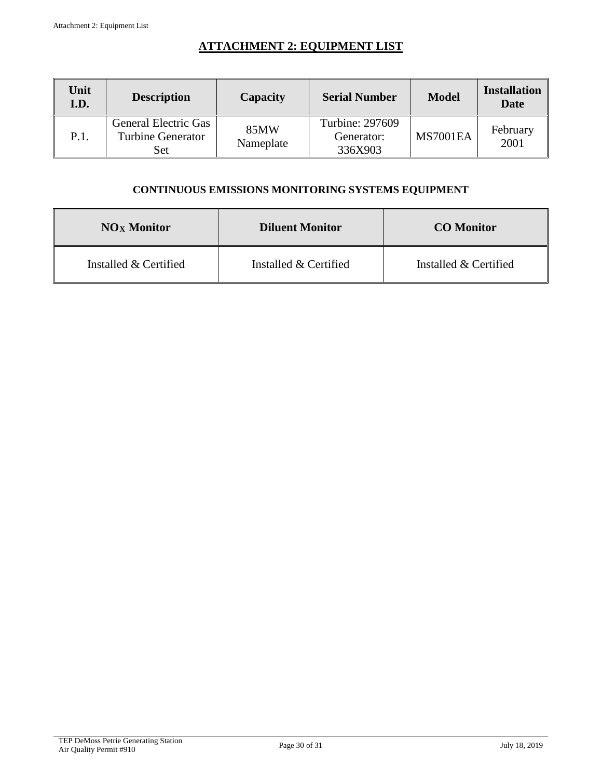# **ATTACHMENT 2: EQUIPMENT LIST**

<span id="page-29-0"></span>

| Unit<br>I.D. | <b>Description</b>                                             | Capacity          | <b>Serial Number</b>                     | <b>Model</b>    | <b>Installation</b><br>Date |
|--------------|----------------------------------------------------------------|-------------------|------------------------------------------|-----------------|-----------------------------|
| P.1.         | <b>General Electric Gas</b><br><b>Turbine Generator</b><br>Set | 85MW<br>Nameplate | Turbine: 297609<br>Generator:<br>336X903 | <b>MS7001EA</b> | February<br>2001            |

## **CONTINUOUS EMISSIONS MONITORING SYSTEMS EQUIPMENT**

| <b>NO<sub>x</sub></b> Monitor | <b>Diluent Monitor</b> | <b>CO</b> Monitor     |
|-------------------------------|------------------------|-----------------------|
| Installed & Certified         | Installed & Certified  | Installed & Certified |